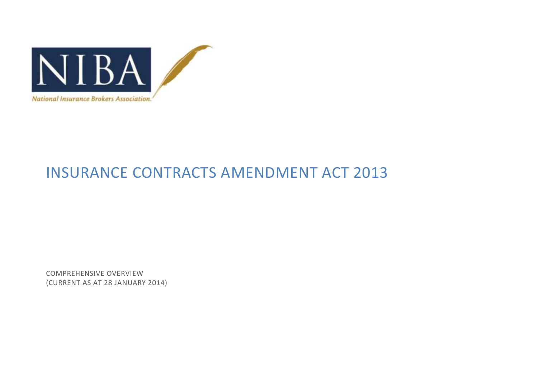

# INSURANCE CONTRACTS AMENDMENT ACT 2013

COMPREHENSIVE OVERVIEW (CURRENT AS AT 28 JANUARY 2014)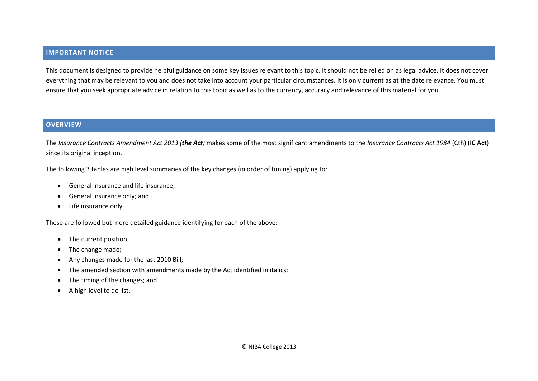#### **IMPORTANT NOTICE**

This document is designed to provide helpful guidance on some key issues relevant to this topic. It should not be relied on as legal advice. It does not cover everything that may be relevant to you and does not take into account your particular circumstances. It is only current as at the date relevance. You must ensure that you seek appropriate advice in relation to this topic as well as to the currency, accuracy and relevance of this material for you.

#### **OVERVIEW**

The *Insurance Contracts Amendment Act 2013 (the Act)* makes some of the most significant amendments to the *Insurance Contracts Act 1984* (Cth) (**IC Act**) since its original inception.

The following 3 tables are high level summaries of the key changes (in order of timing) applying to:

- General insurance and life insurance;
- General insurance only; and
- Life insurance only.

These are followed but more detailed guidance identifying for each of the above:

- The current position;
- The change made;
- Any changes made for the last 2010 Bill;
- The amended section with amendments made by the Act identified in italics;
- The timing of the changes; and
- A high level to do list.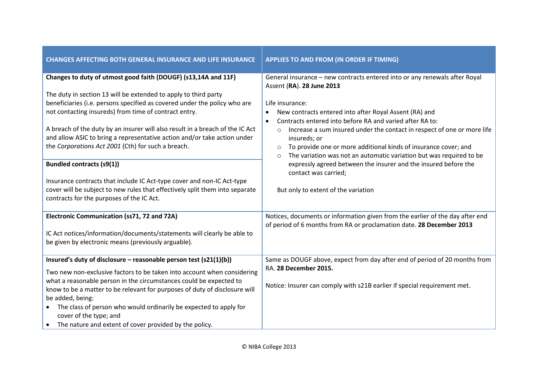| <b>CHANGES AFFECTING BOTH GENERAL INSURANCE AND LIFE INSURANCE</b>                                                                                                                                                                                                                                                                                                                                                                                                                                                                                                                                                                                                                                                                    | APPLIES TO AND FROM (IN ORDER IF TIMING)                                                                                                                                                                                                                                                                                                                                                                                                                                                                                                                                                                                                                              |
|---------------------------------------------------------------------------------------------------------------------------------------------------------------------------------------------------------------------------------------------------------------------------------------------------------------------------------------------------------------------------------------------------------------------------------------------------------------------------------------------------------------------------------------------------------------------------------------------------------------------------------------------------------------------------------------------------------------------------------------|-----------------------------------------------------------------------------------------------------------------------------------------------------------------------------------------------------------------------------------------------------------------------------------------------------------------------------------------------------------------------------------------------------------------------------------------------------------------------------------------------------------------------------------------------------------------------------------------------------------------------------------------------------------------------|
| Changes to duty of utmost good faith (DOUGF) (s13,14A and 11F)<br>The duty in section 13 will be extended to apply to third party<br>beneficiaries (i.e. persons specified as covered under the policy who are<br>not contacting insureds) from time of contract entry.<br>A breach of the duty by an insurer will also result in a breach of the IC Act<br>and allow ASIC to bring a representative action and/or take action under<br>the Corporations Act 2001 (Cth) for such a breach.<br><b>Bundled contracts (s9(1))</b><br>Insurance contracts that include IC Act-type cover and non-IC Act-type<br>cover will be subject to new rules that effectively split them into separate<br>contracts for the purposes of the IC Act. | General insurance - new contracts entered into or any renewals after Royal<br>Assent (RA). 28 June 2013<br>Life insurance:<br>New contracts entered into after Royal Assent (RA) and<br>Contracts entered into before RA and varied after RA to:<br>$\bullet$<br>Increase a sum insured under the contact in respect of one or more life<br>$\circ$<br>insureds; or<br>To provide one or more additional kinds of insurance cover; and<br>$\circ$<br>The variation was not an automatic variation but was required to be<br>$\circ$<br>expressly agreed between the insurer and the insured before the<br>contact was carried;<br>But only to extent of the variation |
| Electronic Communication (ss71, 72 and 72A)<br>IC Act notices/information/documents/statements will clearly be able to<br>be given by electronic means (previously arguable).                                                                                                                                                                                                                                                                                                                                                                                                                                                                                                                                                         | Notices, documents or information given from the earlier of the day after end<br>of period of 6 months from RA or proclamation date. 28 December 2013                                                                                                                                                                                                                                                                                                                                                                                                                                                                                                                 |
| Insured's duty of disclosure - reasonable person test (s21(1)(b))<br>Two new non-exclusive factors to be taken into account when considering<br>what a reasonable person in the circumstances could be expected to<br>know to be a matter to be relevant for purposes of duty of disclosure will<br>be added, being:<br>The class of person who would ordinarily be expected to apply for<br>$\bullet$<br>cover of the type; and<br>• The nature and extent of cover provided by the policy.                                                                                                                                                                                                                                          | Same as DOUGF above, expect from day after end of period of 20 months from<br>RA. 28 December 2015.<br>Notice: Insurer can comply with s21B earlier if special requirement met.                                                                                                                                                                                                                                                                                                                                                                                                                                                                                       |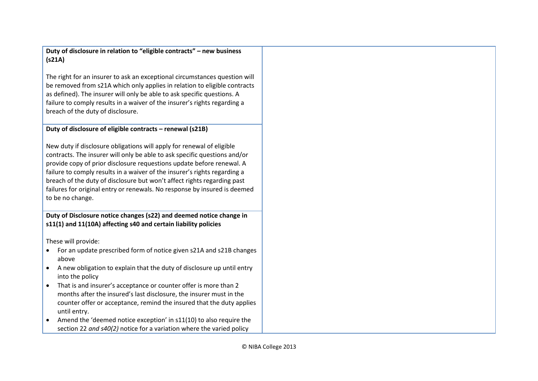**Duty of disclosure in relation to "eligible contracts" – new business (s21A)**

The right for an insurer to ask an exceptional circumstances question will be removed from s21A which only applies in relation to eligible contracts as defined). The insurer will only be able to ask specific questions. A failure to comply results in a waiver of the insurer's rights regarding a breach of the duty of disclosure.

## **Duty of disclosure of eligible contracts – renewal (s21B)**

New duty if disclosure obligations will apply for renewal of eligible contracts. The insurer will only be able to ask specific questions and/or provide copy of prior disclosure requestions update before renewal. A failure to comply results in a waiver of the insurer's rights regarding a breach of the duty of disclosure but won't affect rights regarding past failures for original entry or renewals. No response by insured is deemed to be no change.

**Duty of Disclosure notice changes (s22) and deemed notice change in s11(1) and 11(10A) affecting s40 and certain liability policies**

These will provide:

- For an update prescribed form of notice given s21A and s21B changes above
- A new obligation to explain that the duty of disclosure up until entry into the policy
- That is and insurer's acceptance or counter offer is more than 2 months after the insured's last disclosure, the insurer must in the counter offer or acceptance, remind the insured that the duty applies until entry.
- Amend the 'deemed notice exception' in s11(10) to also require the section 22 *and s40(2)* notice for a variation where the varied policy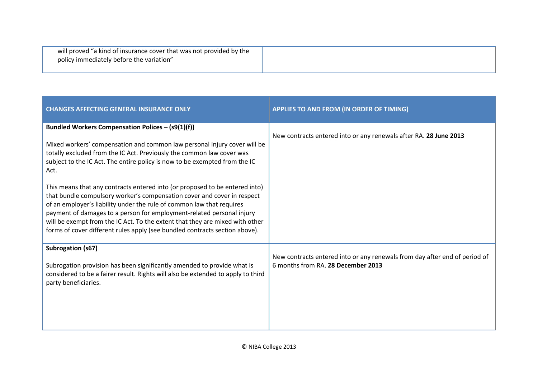| will proved "a kind of insurance cover that was not provided by the<br>policy immediately before the variation" |  |
|-----------------------------------------------------------------------------------------------------------------|--|
|-----------------------------------------------------------------------------------------------------------------|--|

| <b>CHANGES AFFECTING GENERAL INSURANCE ONLY</b>                                                                                                                                                                                                                                                                                                                                                                                                                                                                                                                                                                                                                                                                                                                         | APPLIES TO AND FROM (IN ORDER OF TIMING)                                                                         |
|-------------------------------------------------------------------------------------------------------------------------------------------------------------------------------------------------------------------------------------------------------------------------------------------------------------------------------------------------------------------------------------------------------------------------------------------------------------------------------------------------------------------------------------------------------------------------------------------------------------------------------------------------------------------------------------------------------------------------------------------------------------------------|------------------------------------------------------------------------------------------------------------------|
| Bundled Workers Compensation Polices - (s9(1)(f))<br>Mixed workers' compensation and common law personal injury cover will be<br>totally excluded from the IC Act. Previously the common law cover was<br>subject to the IC Act. The entire policy is now to be exempted from the IC<br>Act.<br>This means that any contracts entered into (or proposed to be entered into)<br>that bundle compulsory worker's compensation cover and cover in respect<br>of an employer's liability under the rule of common law that requires<br>payment of damages to a person for employment-related personal injury<br>will be exempt from the IC Act. To the extent that they are mixed with other<br>forms of cover different rules apply (see bundled contracts section above). | New contracts entered into or any renewals after RA. 28 June 2013                                                |
| Subrogation (s67)<br>Subrogation provision has been significantly amended to provide what is<br>considered to be a fairer result. Rights will also be extended to apply to third<br>party beneficiaries.                                                                                                                                                                                                                                                                                                                                                                                                                                                                                                                                                                | New contracts entered into or any renewals from day after end of period of<br>6 months from RA. 28 December 2013 |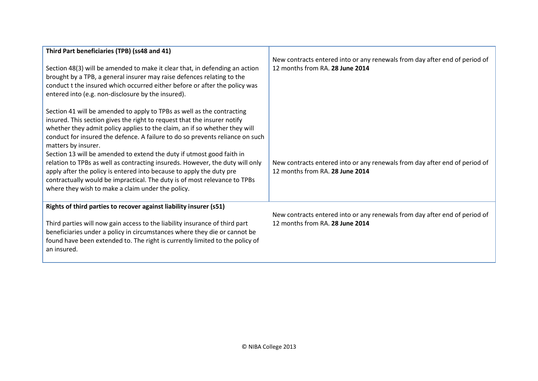| Third Part beneficiaries (TPB) (ss48 and 41)                                                                                                                                                                                                                                                                                                                                                                      |                                                                                                               |
|-------------------------------------------------------------------------------------------------------------------------------------------------------------------------------------------------------------------------------------------------------------------------------------------------------------------------------------------------------------------------------------------------------------------|---------------------------------------------------------------------------------------------------------------|
| Section 48(3) will be amended to make it clear that, in defending an action<br>brought by a TPB, a general insurer may raise defences relating to the<br>conduct t the insured which occurred either before or after the policy was<br>entered into (e.g. non-disclosure by the insured).                                                                                                                         | New contracts entered into or any renewals from day after end of period of<br>12 months from RA. 28 June 2014 |
| Section 41 will be amended to apply to TPBs as well as the contracting<br>insured. This section gives the right to request that the insurer notify<br>whether they admit policy applies to the claim, an if so whether they will<br>conduct for insured the defence. A failure to do so prevents reliance on such<br>matters by insurer.<br>Section 13 will be amended to extend the duty if utmost good faith in |                                                                                                               |
| relation to TPBs as well as contracting insureds. However, the duty will only<br>apply after the policy is entered into because to apply the duty pre<br>contractually would be impractical. The duty is of most relevance to TPBs<br>where they wish to make a claim under the policy.                                                                                                                           | New contracts entered into or any renewals from day after end of period of<br>12 months from RA. 28 June 2014 |
| Rights of third parties to recover against liability insurer (s51)                                                                                                                                                                                                                                                                                                                                                |                                                                                                               |
| Third parties will now gain access to the liability insurance of third part<br>beneficiaries under a policy in circumstances where they die or cannot be<br>found have been extended to. The right is currently limited to the policy of<br>an insured.                                                                                                                                                           | New contracts entered into or any renewals from day after end of period of<br>12 months from RA. 28 June 2014 |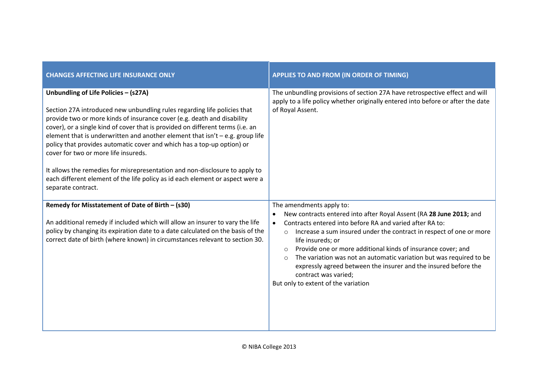| <b>CHANGES AFFECTING LIFE INSURANCE ONLY</b>                                                                                                                                                                                                                                                                                                                                                                                                                                                                                                                                                                                                                             | APPLIES TO AND FROM (IN ORDER OF TIMING)                                                                                                                                                                                                                                                                                                                                                                                                                                                                                                                                       |
|--------------------------------------------------------------------------------------------------------------------------------------------------------------------------------------------------------------------------------------------------------------------------------------------------------------------------------------------------------------------------------------------------------------------------------------------------------------------------------------------------------------------------------------------------------------------------------------------------------------------------------------------------------------------------|--------------------------------------------------------------------------------------------------------------------------------------------------------------------------------------------------------------------------------------------------------------------------------------------------------------------------------------------------------------------------------------------------------------------------------------------------------------------------------------------------------------------------------------------------------------------------------|
| Unbundling of Life Policies - (s27A)<br>Section 27A introduced new unbundling rules regarding life policies that<br>provide two or more kinds of insurance cover (e.g. death and disability<br>cover), or a single kind of cover that is provided on different terms (i.e. an<br>element that is underwritten and another element that $isn't - e.g.$ group life<br>policy that provides automatic cover and which has a top-up option) or<br>cover for two or more life insureds.<br>It allows the remedies for misrepresentation and non-disclosure to apply to<br>each different element of the life policy as id each element or aspect were a<br>separate contract. | The unbundling provisions of section 27A have retrospective effect and will<br>apply to a life policy whether originally entered into before or after the date<br>of Royal Assent.                                                                                                                                                                                                                                                                                                                                                                                             |
| Remedy for Misstatement of Date of Birth - (s30)<br>An additional remedy if included which will allow an insurer to vary the life<br>policy by changing its expiration date to a date calculated on the basis of the<br>correct date of birth (where known) in circumstances relevant to section 30.                                                                                                                                                                                                                                                                                                                                                                     | The amendments apply to:<br>New contracts entered into after Royal Assent (RA 28 June 2013; and<br>Contracts entered into before RA and varied after RA to:<br>$\bullet$<br>Increase a sum insured under the contract in respect of one or more<br>$\circ$<br>life insureds; or<br>Provide one or more additional kinds of insurance cover; and<br>$\circ$<br>The variation was not an automatic variation but was required to be<br>$\circ$<br>expressly agreed between the insurer and the insured before the<br>contract was varied;<br>But only to extent of the variation |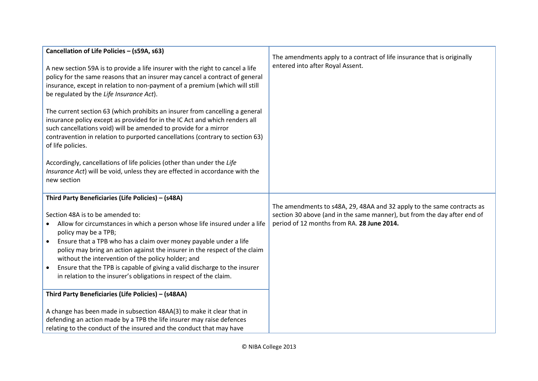| Cancellation of Life Policies - (s59A, s63)<br>A new section 59A is to provide a life insurer with the right to cancel a life<br>policy for the same reasons that an insurer may cancel a contract of general<br>insurance, except in relation to non-payment of a premium (which will still<br>be regulated by the Life Insurance Act).<br>The current section 63 (which prohibits an insurer from cancelling a general<br>insurance policy except as provided for in the IC Act and which renders all<br>such cancellations void) will be amended to provide for a mirror<br>contravention in relation to purported cancellations (contrary to section 63)<br>of life policies.<br>Accordingly, cancellations of life policies (other than under the Life<br>Insurance Act) will be void, unless they are effected in accordance with the<br>new section        | The amendments apply to a contract of life insurance that is originally<br>entered into after Royal Assent.                                                                                      |
|-------------------------------------------------------------------------------------------------------------------------------------------------------------------------------------------------------------------------------------------------------------------------------------------------------------------------------------------------------------------------------------------------------------------------------------------------------------------------------------------------------------------------------------------------------------------------------------------------------------------------------------------------------------------------------------------------------------------------------------------------------------------------------------------------------------------------------------------------------------------|--------------------------------------------------------------------------------------------------------------------------------------------------------------------------------------------------|
| Third Party Beneficiaries (Life Policies) - (s48A)<br>Section 48A is to be amended to:<br>Allow for circumstances in which a person whose life insured under a life<br>policy may be a TPB;<br>Ensure that a TPB who has a claim over money payable under a life<br>$\bullet$<br>policy may bring an action against the insurer in the respect of the claim<br>without the intervention of the policy holder; and<br>Ensure that the TPB is capable of giving a valid discharge to the insurer<br>$\bullet$<br>in relation to the insurer's obligations in respect of the claim.<br>Third Party Beneficiaries (Life Policies) - (s48AA)<br>A change has been made in subsection 48AA(3) to make it clear that in<br>defending an action made by a TPB the life insurer may raise defences<br>relating to the conduct of the insured and the conduct that may have | The amendments to s48A, 29, 48AA and 32 apply to the same contracts as<br>section 30 above (and in the same manner), but from the day after end of<br>period of 12 months from RA. 28 June 2014. |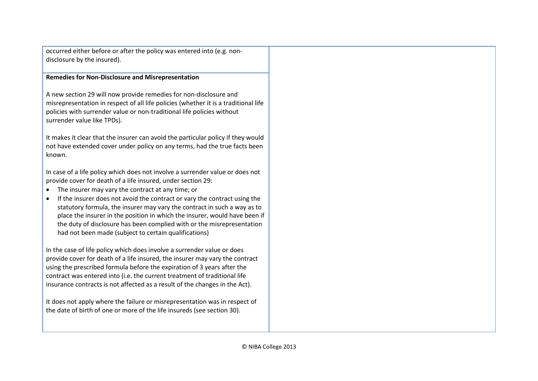occurred either before or after the policy was entered into (e.g. nondisclosure by the insured).

#### **Remedies for Non-Disclosure and Misrepresentation**

A new section 29 will now provide remedies for non-disclosure and misrepresentation in respect of all life policies (whether it is a traditional life policies with surrender value or non-traditional life policies without surrender value like TPDs).

It makes it clear that the insurer can avoid the particular policy if they would not have extended cover under policy on any terms, had the true facts been known.

In case of a life policy which does not involve a surrender value or does not provide cover for death of a life insured, under section 29:

- The insurer may vary the contract at any time; or
- If the insurer does not avoid the contract or vary the contract using the statutory formula, the insurer may vary the contract in such a way as to place the insurer in the position in which the insurer, would have been if the duty of disclosure has been complied with or the misrepresentation had not been made (subject to certain qualifications)

In the case of life policy which does involve a surrender value or does provide cover for death of a life insured, the insurer may vary the contract using the prescribed formula before the expiration of 3 years after the contract was entered into (i.e. the current treatment of traditional life insurance contracts is not affected as a result of the changes in the Act).

It does not apply where the failure or misrepresentation was in respect of the date of birth of one or more of the life insureds (see section 30).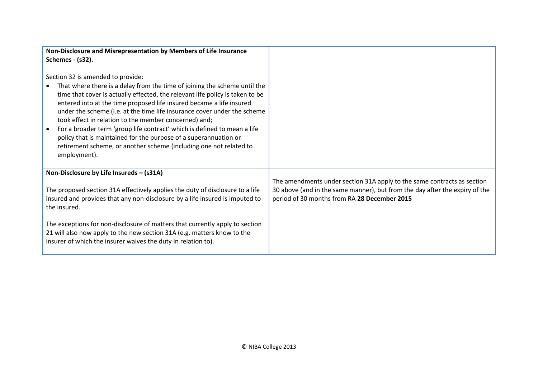| Non-Disclosure and Misrepresentation by Members of Life Insurance                                                                                                                                                                                                                                                                                                                                                                                                                                                                                                                                                                                  |                                                                                                                                                                                                        |
|----------------------------------------------------------------------------------------------------------------------------------------------------------------------------------------------------------------------------------------------------------------------------------------------------------------------------------------------------------------------------------------------------------------------------------------------------------------------------------------------------------------------------------------------------------------------------------------------------------------------------------------------------|--------------------------------------------------------------------------------------------------------------------------------------------------------------------------------------------------------|
| Schemes - (s32).                                                                                                                                                                                                                                                                                                                                                                                                                                                                                                                                                                                                                                   |                                                                                                                                                                                                        |
| Section 32 is amended to provide:<br>That where there is a delay from the time of joining the scheme until the<br>time that cover is actually effected, the relevant life policy is taken to be<br>entered into at the time proposed life insured became a life insured<br>under the scheme (i.e. at the time life insurance cover under the scheme<br>took effect in relation to the member concerned) and;<br>For a broader term 'group life contract' which is defined to mean a life<br>policy that is maintained for the purpose of a superannuation or<br>retirement scheme, or another scheme (including one not related to<br>employment). |                                                                                                                                                                                                        |
| Non-Disclosure by Life Insureds - (s31A)                                                                                                                                                                                                                                                                                                                                                                                                                                                                                                                                                                                                           |                                                                                                                                                                                                        |
| The proposed section 31A effectively applies the duty of disclosure to a life<br>insured and provides that any non-disclosure by a life insured is imputed to<br>the insured.                                                                                                                                                                                                                                                                                                                                                                                                                                                                      | The amendments under section 31A apply to the same contracts as section<br>30 above (and in the same manner), but from the day after the expiry of the<br>period of 30 months from RA 28 December 2015 |
| The exceptions for non-disclosure of matters that currently apply to section<br>21 will also now apply to the new section 31A (e.g. matters know to the<br>insurer of which the insurer waives the duty in relation to).                                                                                                                                                                                                                                                                                                                                                                                                                           |                                                                                                                                                                                                        |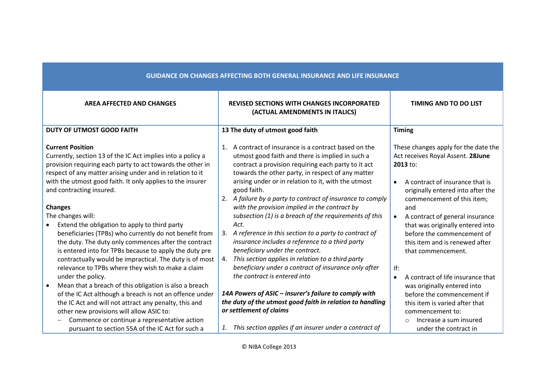| <b>GUIDANCE ON CHANGES AFFECTING BOTH GENERAL INSURANCE AND LIFE INSURANCE</b>                                                                                                                                                                                                                                                                                                                                                                                                                                                                                                                                                                                                                                                                                                                                                                                                                                                        |                                                                                                                                                                                                                                                                                                                                                                                                                                                                                                                                                                                                                        |  |
|---------------------------------------------------------------------------------------------------------------------------------------------------------------------------------------------------------------------------------------------------------------------------------------------------------------------------------------------------------------------------------------------------------------------------------------------------------------------------------------------------------------------------------------------------------------------------------------------------------------------------------------------------------------------------------------------------------------------------------------------------------------------------------------------------------------------------------------------------------------------------------------------------------------------------------------|------------------------------------------------------------------------------------------------------------------------------------------------------------------------------------------------------------------------------------------------------------------------------------------------------------------------------------------------------------------------------------------------------------------------------------------------------------------------------------------------------------------------------------------------------------------------------------------------------------------------|--|
| <b>REVISED SECTIONS WITH CHANGES INCORPORATED</b><br>(ACTUAL AMENDMENTS IN ITALICS)                                                                                                                                                                                                                                                                                                                                                                                                                                                                                                                                                                                                                                                                                                                                                                                                                                                   | <b>TIMING AND TO DO LIST</b>                                                                                                                                                                                                                                                                                                                                                                                                                                                                                                                                                                                           |  |
| 13 The duty of utmost good faith                                                                                                                                                                                                                                                                                                                                                                                                                                                                                                                                                                                                                                                                                                                                                                                                                                                                                                      | <b>Timing</b>                                                                                                                                                                                                                                                                                                                                                                                                                                                                                                                                                                                                          |  |
| A contract of insurance is a contract based on the<br>1.<br>utmost good faith and there is implied in such a<br>contract a provision requiring each party to it act<br>towards the other party, in respect of any matter<br>arising under or in relation to it, with the utmost<br>good faith.<br>2. A failure by a party to contract of insurance to comply<br>with the provision implied in the contract by<br>subsection (1) is a breach of the requirements of this<br>Act.<br>3. A reference in this section to a party to contract of<br>insurance includes a reference to a third party<br>beneficiary under the contract.<br>This section applies in relation to a third party<br>4.<br>beneficiary under a contract of insurance only after<br>the contract is entered into<br>14A Powers of ASIC - insurer's failure to comply with<br>the duty of the utmost good faith in relation to handling<br>or settlement of claims | These changes apply for the date the<br>Act receives Royal Assent. 28June<br>2013 to:<br>A contract of insurance that is<br>$\bullet$<br>originally entered into after the<br>commencement of this item;<br>and<br>A contract of general insurance<br>$\bullet$<br>that was originally entered into<br>before the commencement of<br>this item and is renewed after<br>that commencement.<br>If:<br>A contract of life insurance that<br>was originally entered into<br>before the commencement if<br>this item is varied after that<br>commencement to:<br>Increase a sum insured<br>$\circ$<br>under the contract in |  |
|                                                                                                                                                                                                                                                                                                                                                                                                                                                                                                                                                                                                                                                                                                                                                                                                                                                                                                                                       | This section applies if an insurer under a contract of<br>1.                                                                                                                                                                                                                                                                                                                                                                                                                                                                                                                                                           |  |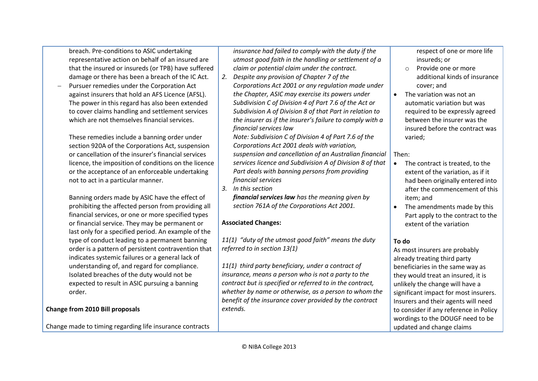breach. Pre-conditions to ASIC undertaking representative action on behalf of an insured are that the insured or insureds (or TPB) have suffered damage or there has been a breach of the IC Act.

 Pursuer remedies under the Corporation Act against insurers that hold an AFS Licence (AFSL). The power in this regard has also been extended to cover claims handling and settlement services which are not themselves financial services.

These remedies include a banning order under section 920A of the Corporations Act, suspension or cancellation of the insurer's financial services licence, the imposition of conditions on the licence or the acceptance of an enforceable undertaking not to act in a particular manner.

Banning orders made by ASIC have the effect of prohibiting the affected person from providing all financial services, or one or more specified types or financial service. They may be permanent or last only for a specified period. An example of the type of conduct leading to a permanent banning order is a pattern of persistent contravention that indicates systemic failures or a general lack of understanding of, and regard for compliance. Isolated breaches of the duty would not be expected to result in ASIC pursuing a banning order.

#### **Change from 2010 Bill proposals**

Change made to timing regarding life insurance contracts

*insurance had failed to comply with the duty if the utmost good faith in the handling or settlement of a claim or potential claim under the contract.*

*2. Despite any provision of Chapter 7 of the Corporations Act 2001 or any regulation made under the Chapter, ASIC may exercise its powers under Subdivision C of Division 4 of Part 7.6 of the Act or Subdivision A of Division 8 of that Part in relation to the insurer as if the insurer's failure to comply with a financial services law*

*Note: Subdivision C of Division 4 of Part 7.6 of the Corporations Act 2001 deals with variation, suspension and cancellation of an Australian financial services licence and Subdivision A of Division 8 of that Part deals with banning persons from providing financial services*

*3. In this section*

*financial services law has the meaning given by section 761A of the Corporations Act 2001.* 

#### **Associated Changes:**

*11(1) "duty of the utmost good faith" means the duty referred to in section 13(1)*

*11(1) third party beneficiary, under a contract of insurance, means a person who is not a party to the contract but is specified or referred to in the contract, whether by name or otherwise, as a person to whom the benefit of the insurance cover provided by the contract extends.* 

respect of one or more life insureds; or

- o Provide one or more additional kinds of insurance cover; and
- The variation was not an automatic variation but was required to be expressly agreed between the insurer was the insured before the contract was varied;

#### Then:

- The contract is treated, to the extent of the variation, as if it had been originally entered into after the commencement of this item; and
- The amendments made by this Part apply to the contract to the extent of the variation

# **To do**

As most insurers are probably already treating third party beneficiaries in the same way as they would treat an insured, it is unlikely the change will have a significant impact for most insurers. Insurers and their agents will need to consider if any reference in Policy wordings to the DOUGF need to be updated and change claims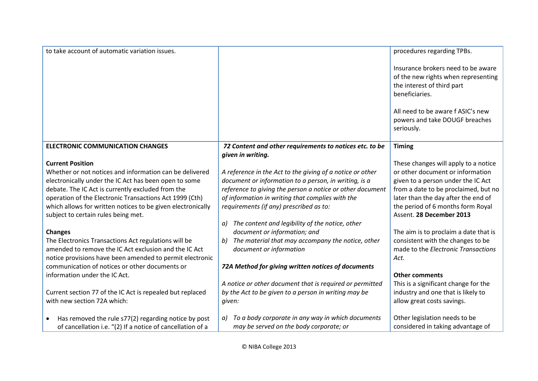| to take account of automatic variation issues.                    |                                                                              | procedures regarding TPBs.                                                                                                |
|-------------------------------------------------------------------|------------------------------------------------------------------------------|---------------------------------------------------------------------------------------------------------------------------|
|                                                                   |                                                                              | Insurance brokers need to be aware<br>of the new rights when representing<br>the interest of third part<br>beneficiaries. |
|                                                                   |                                                                              | All need to be aware f ASIC's new<br>powers and take DOUGF breaches<br>seriously.                                         |
| <b>ELECTRONIC COMMUNICATION CHANGES</b>                           | 72 Content and other requirements to notices etc. to be<br>given in writing. | <b>Timing</b>                                                                                                             |
| <b>Current Position</b>                                           |                                                                              | These changes will apply to a notice                                                                                      |
| Whether or not notices and information can be delivered           | A reference in the Act to the giving of a notice or other                    | or other document or information                                                                                          |
| electronically under the IC Act has been open to some             | document or information to a person, in writing, is a                        | given to a person under the IC Act                                                                                        |
| debate. The IC Act is currently excluded from the                 | reference to giving the person a notice or other document                    | from a date to be proclaimed, but no                                                                                      |
| operation of the Electronic Transactions Act 1999 (Cth)           | of information in writing that complies with the                             | later than the day after the end of                                                                                       |
| which allows for written notices to be given electronically       | requirements (if any) prescribed as to:                                      | the period of 6 months form Royal                                                                                         |
| subject to certain rules being met.                               |                                                                              | Assent. 28 December 2013                                                                                                  |
|                                                                   | The content and legibility of the notice, other<br>a)                        |                                                                                                                           |
| <b>Changes</b>                                                    | document or information; and                                                 | The aim is to proclaim a date that is                                                                                     |
| The Electronics Transactions Act regulations will be              | The material that may accompany the notice, other<br>b)                      | consistent with the changes to be                                                                                         |
| amended to remove the IC Act exclusion and the IC Act             | document or information                                                      | made to the Electronic Transactions                                                                                       |
| notice provisions have been amended to permit electronic          |                                                                              | Act.                                                                                                                      |
| communication of notices or other documents or                    | 72A Method for giving written notices of documents                           |                                                                                                                           |
| information under the IC Act.                                     |                                                                              | <b>Other comments</b>                                                                                                     |
|                                                                   | A notice or other document that is required or permitted                     | This is a significant change for the                                                                                      |
| Current section 77 of the IC Act is repealed but replaced         | by the Act to be given to a person in writing may be                         | industry and one that is likely to                                                                                        |
| with new section 72A which:                                       | given:                                                                       | allow great costs savings.                                                                                                |
|                                                                   |                                                                              |                                                                                                                           |
| Has removed the rule s77(2) regarding notice by post<br>$\bullet$ | To a body corporate in any way in which documents<br>a)                      | Other legislation needs to be                                                                                             |
| of cancellation i.e. "(2) If a notice of cancellation of a        | may be served on the body corporate; or                                      | considered in taking advantage of                                                                                         |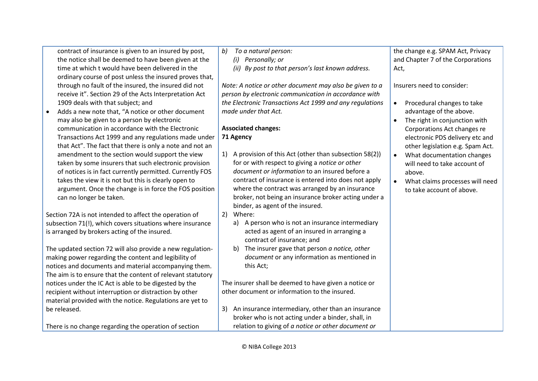| contract of insurance is given to an insured by post,       | To a natural person:<br>b)                                                                                     | the change e.g. SPAM Act, Privacy            |
|-------------------------------------------------------------|----------------------------------------------------------------------------------------------------------------|----------------------------------------------|
| the notice shall be deemed to have been given at the        | Personally; or<br>(i)                                                                                          | and Chapter 7 of the Corporations            |
| time at which t would have been delivered in the            | (ii)<br>By post to that person's last known address.                                                           | Act,                                         |
| ordinary course of post unless the insured proves that,     |                                                                                                                |                                              |
| through no fault of the insured, the insured did not        | Note: A notice or other document may also be given to a                                                        | Insurers need to consider:                   |
| receive it". Section 29 of the Acts Interpretation Act      | person by electronic communication in accordance with                                                          |                                              |
| 1909 deals with that subject; and                           | the Electronic Transactions Act 1999 and any regulations                                                       | Procedural changes to take<br>$\bullet$      |
| Adds a new note that, "A notice or other document           | made under that Act.                                                                                           | advantage of the above.                      |
| may also be given to a person by electronic                 |                                                                                                                | The right in conjunction with                |
| communication in accordance with the Electronic             | <b>Associated changes:</b>                                                                                     | Corporations Act changes re                  |
| Transactions Act 1999 and any regulations made under        | 71 Agency                                                                                                      | electronic PDS delivery etc and              |
| that Act". The fact that there is only a note and not an    |                                                                                                                | other legislation e.g. Spam Act.             |
| amendment to the section would support the view             | A provision of this Act (other than subsection 58(2))<br>1)                                                    | What documentation changes<br>$\bullet$      |
| taken by some insurers that such electronic provision       | for or with respect to giving a notice or other                                                                | will need to take account of                 |
| of notices is in fact currently permitted. Currently FOS    | document or information to an insured before a                                                                 | above.                                       |
| takes the view it is not but this is clearly open to        | contract of insurance is entered into does not apply                                                           | What claims processes will need<br>$\bullet$ |
| argument. Once the change is in force the FOS position      | where the contract was arranged by an insurance                                                                | to take account of above.                    |
| can no longer be taken.                                     | broker, not being an insurance broker acting under a                                                           |                                              |
|                                                             | binder, as agent of the insured.                                                                               |                                              |
| Section 72A is not intended to affect the operation of      | Where:<br>2)                                                                                                   |                                              |
| subsection 71(!), which covers situations where insurance   | A person who is not an insurance intermediary<br>a)                                                            |                                              |
| is arranged by brokers acting of the insured.               | acted as agent of an insured in arranging a                                                                    |                                              |
|                                                             | contract of insurance; and                                                                                     |                                              |
| The updated section 72 will also provide a new regulation-  | The insurer gave that person a notice, other<br>b)                                                             |                                              |
| making power regarding the content and legibility of        | document or any information as mentioned in                                                                    |                                              |
| notices and documents and material accompanying them.       | this Act;                                                                                                      |                                              |
| The aim is to ensure that the content of relevant statutory |                                                                                                                |                                              |
| notices under the IC Act is able to be digested by the      | The insurer shall be deemed to have given a notice or<br>other document or information to the insured.         |                                              |
| recipient without interruption or distraction by other      |                                                                                                                |                                              |
| material provided with the notice. Regulations are yet to   |                                                                                                                |                                              |
| be released.                                                | An insurance intermediary, other than an insurance<br>3)<br>broker who is not acting under a binder, shall, in |                                              |
|                                                             | relation to giving of a notice or other document or                                                            |                                              |
| There is no change regarding the operation of section       |                                                                                                                |                                              |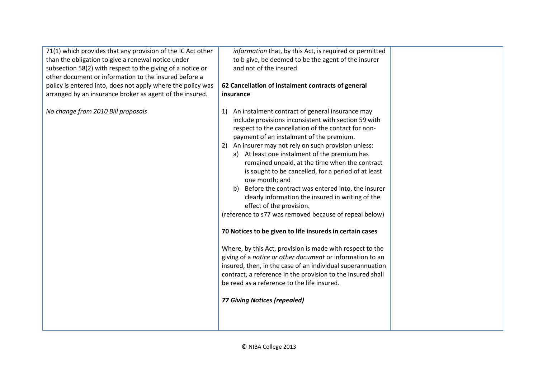71(1) which provides that any provision of the IC Act other than the obligation to give a renewal notice under subsection 58(2) with respect to the giving of a notice or other document or information to the insured before a policy is entered into, does not apply where the policy was arranged by an insurance broker as agent of the insured.

*No change from 2010 Bill proposals*

*information* that, by this Act, is required or permitted to b give, be deemed to be the agent of the insurer and not of the insured.

## **62 Cancellation of instalment contracts of general insurance**

- 1) An instalment contract of general insurance may include provisions inconsistent with section 59 with respect to the cancellation of the contact for nonpayment of an instalment of the premium.
- 2) An insurer may not rely on such provision unless:
	- a) At least one instalment of the premium has remained unpaid, at the time when the contract is sought to be cancelled, for a period of at least one month; and
	- b) Before the contract was entered into, the insurer clearly information the insured in writing of the effect of the provision.

(reference to s77 was removed because of repeal below)

# **70 Notices to be given to life insureds in certain cases**

Where, by this Act, provision is made with respect to the giving of a *notice or other document* or information to an insured, then, in the case of an individual superannuation contract, a reference in the provision to the insured shall be read as a reference to the life insured.

*77 Giving Notices (repealed)*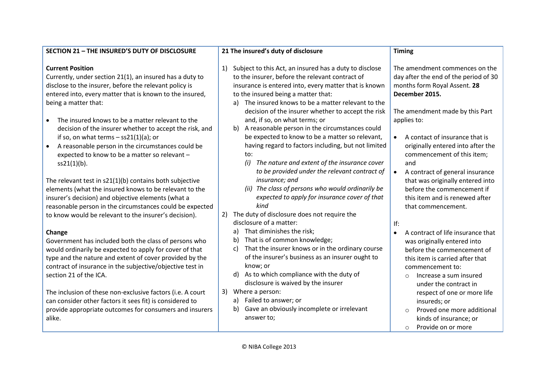| Subject to this Act, an insured has a duty to disclose<br>1)                                                                                                                                                                                                                                                                                                                                                                                                                                                                                                                                                                                                                                                                                                                                                                                                                                                                                                                                                                                                                                                          |                                                                                                                                                                                                                                                                                                                                                                                                                                                                                                                                                                                                                                                                                                                           |
|-----------------------------------------------------------------------------------------------------------------------------------------------------------------------------------------------------------------------------------------------------------------------------------------------------------------------------------------------------------------------------------------------------------------------------------------------------------------------------------------------------------------------------------------------------------------------------------------------------------------------------------------------------------------------------------------------------------------------------------------------------------------------------------------------------------------------------------------------------------------------------------------------------------------------------------------------------------------------------------------------------------------------------------------------------------------------------------------------------------------------|---------------------------------------------------------------------------------------------------------------------------------------------------------------------------------------------------------------------------------------------------------------------------------------------------------------------------------------------------------------------------------------------------------------------------------------------------------------------------------------------------------------------------------------------------------------------------------------------------------------------------------------------------------------------------------------------------------------------------|
| to the insurer, before the relevant contract of<br>insurance is entered into, every matter that is known<br>to the insured being a matter that:<br>The insured knows to be a matter relevant to the<br>a)<br>decision of the insurer whether to accept the risk<br>and, if so, on what terms; or<br>A reasonable person in the circumstances could<br>b)<br>be expected to know to be a matter so relevant,<br>having regard to factors including, but not limited<br>to:<br>(i)<br>The nature and extent of the insurance cover<br>to be provided under the relevant contract of<br>insurance; and<br>(ii) The class of persons who would ordinarily be<br>expected to apply for insurance cover of that<br>kind<br>The duty of disclosure does not require the<br>2)<br>disclosure of a matter:<br>That diminishes the risk;<br>a)<br>That is of common knowledge;<br>b)<br>That the insurer knows or in the ordinary course<br>C)<br>of the insurer's business as an insurer ought to<br>know; or<br>As to which compliance with the duty of<br>d)<br>disclosure is waived by the insurer<br>Where a person:<br>3) | The amendment commences on the<br>day after the end of the period of 30<br>months form Royal Assent. 28<br>December 2015.<br>The amendment made by this Part<br>applies to:<br>A contact of insurance that is<br>$\bullet$<br>originally entered into after the<br>commencement of this item;<br>and<br>$\bullet$<br>A contract of general insurance<br>that was originally entered into<br>before the commencement if<br>this item and is renewed after<br>that commencement.<br>lf:<br>A contract of life insurance that<br>$\bullet$<br>was originally entered into<br>before the commencement of<br>this item is carried after that<br>commencement to:<br>Increase a sum insured<br>$\circ$<br>under the contract in |
| Failed to answer; or<br>a)<br>Gave an obviously incomplete or irrelevant<br>b)<br>answer to;                                                                                                                                                                                                                                                                                                                                                                                                                                                                                                                                                                                                                                                                                                                                                                                                                                                                                                                                                                                                                          | respect of one or more life<br>insureds; or<br>Proved one more additional<br>$\Omega$<br>kinds of insurance; or<br>Provide on or more<br>$\circ$                                                                                                                                                                                                                                                                                                                                                                                                                                                                                                                                                                          |
|                                                                                                                                                                                                                                                                                                                                                                                                                                                                                                                                                                                                                                                                                                                                                                                                                                                                                                                                                                                                                                                                                                                       |                                                                                                                                                                                                                                                                                                                                                                                                                                                                                                                                                                                                                                                                                                                           |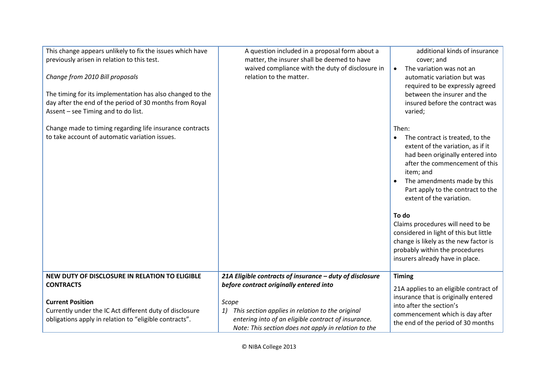| This change appears unlikely to fix the issues which have<br>previously arisen in relation to this test.<br>Change from 2010 Bill proposals<br>The timing for its implementation has also changed to the<br>day after the end of the period of 30 months from Royal<br>Assent - see Timing and to do list. | A question included in a proposal form about a<br>matter, the insurer shall be deemed to have<br>waived compliance with the duty of disclosure in<br>relation to the matter.   | additional kinds of insurance<br>cover; and<br>The variation was not an<br>$\bullet$<br>automatic variation but was<br>required to be expressly agreed<br>between the insurer and the<br>insured before the contract was<br>varied;                                                                                                                                                                                                                                    |
|------------------------------------------------------------------------------------------------------------------------------------------------------------------------------------------------------------------------------------------------------------------------------------------------------------|--------------------------------------------------------------------------------------------------------------------------------------------------------------------------------|------------------------------------------------------------------------------------------------------------------------------------------------------------------------------------------------------------------------------------------------------------------------------------------------------------------------------------------------------------------------------------------------------------------------------------------------------------------------|
| Change made to timing regarding life insurance contracts<br>to take account of automatic variation issues.                                                                                                                                                                                                 |                                                                                                                                                                                | Then:<br>The contract is treated, to the<br>extent of the variation, as if it<br>had been originally entered into<br>after the commencement of this<br>item; and<br>The amendments made by this<br>Part apply to the contract to the<br>extent of the variation.<br>To do<br>Claims procedures will need to be<br>considered in light of this but little<br>change is likely as the new factor is<br>probably within the procedures<br>insurers already have in place. |
| NEW DUTY OF DISCLOSURE IN RELATION TO ELIGIBLE<br><b>CONTRACTS</b>                                                                                                                                                                                                                                         | 21A Eligible contracts of insurance - duty of disclosure<br>before contract originally entered into                                                                            | <b>Timing</b><br>21A applies to an eligible contract of<br>insurance that is originally entered                                                                                                                                                                                                                                                                                                                                                                        |
| <b>Current Position</b><br>Currently under the IC Act different duty of disclosure<br>obligations apply in relation to "eligible contracts".                                                                                                                                                               | Scope<br>This section applies in relation to the original<br>1)<br>entering into of an eligible contract of insurance.<br>Note: This section does not apply in relation to the | into after the section's<br>commencement which is day after<br>the end of the period of 30 months                                                                                                                                                                                                                                                                                                                                                                      |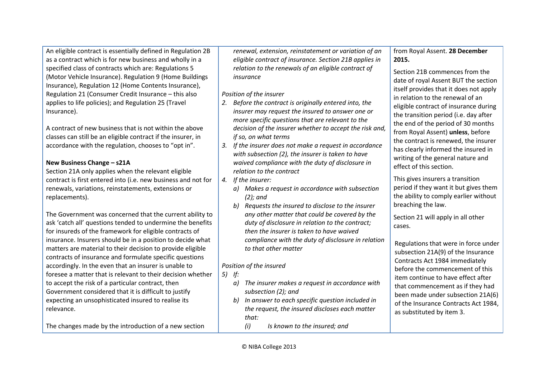An eligible contract is essentially defined in Regulation 2B as a contract which is for new business and wholly in a specified class of contracts which are: Regulations 5 (Motor Vehicle Insurance). Regulation 9 (Home Buildings Insurance), Regulation 12 (Home Contents Insurance), Regulation 21 (Consumer Credit Insurance – this also applies to life policies); and Regulation 25 (Travel Insurance).

A contract of new business that is not within the above classes can still be an eligible contract if the insurer, in accordance with the regulation, chooses to "opt in".

#### **New Business Change – s21A**

Section 21A only applies when the relevant eligible contract is first entered into (i.e. new business and not for renewals, variations, reinstatements, extensions or replacements).

The Government was concerned that the current ability to ask 'catch all' questions tended to undermine the benefits for insureds of the framework for eligible contracts of insurance. Insurers should be in a position to decide what matters are material to their decision to provide eligible contracts of insurance and formulate specific questions accordingly. In the even that an insurer is unable to foresee a matter that is relevant to their decision whether to accept the risk of a particular contract, then Government considered that it is difficult to justify expecting an unsophisticated insured to realise its relevance.

The changes made by the introduction of a new section

*renewal, extension, reinstatement or variation of an eligible contract of insurance. Section 21B applies in relation to the renewals of an eligible contract of insurance*

#### *Position of the insurer*

- *2. Before the contract is originally entered into, the insurer may request the insured to answer one or more specific questions that are relevant to the decision of the insurer whether to accept the risk and, if so, on what terms*
- *3. If the insurer does not make a request in accordance with subsection (2), the insurer is taken to have waived compliance with the duty of disclosure in relation to the contract*
- *4. If the insurer:*
	- *a) Makes a request in accordance with subsection (2); and*
	- *b) Requests the insured to disclose to the insurer any other matter that could be covered by the duty of disclosure in relation to the contract; then the insurer is taken to have waived compliance with the duty of disclosure in relation to that other matter*

# *Position of the insured*

*5) If:*

- *a) The insurer makes a request in accordance with subsection (2); and*
- *b) In answer to each specific question included in the request, the insured discloses each matter that:*
	- *(i) Is known to the insured; and*

#### from Royal Assent. **28 December 2015.**

Section 21B commences from the date of royal Assent BUT the section itself provides that it does not apply in relation to the renewal of an eligible contract of insurance during the transition period (i.e. day after the end of the period of 30 months from Royal Assent) **unless**, before the contract is renewed, the insurer has clearly informed the insured in writing of the general nature and effect of this section.

This gives insurers a transition period if they want it but gives them the ability to comply earlier without breaching the law.

Section 21 will apply in all other cases.

Regulations that were in force under subsection 21A(9) of the Insurance Contracts Act 1984 immediately before the commencement of this item continue to have effect after that commencement as if they had been made under subsection 21A(6) of the Insurance Contracts Act 1984, as substituted by item 3.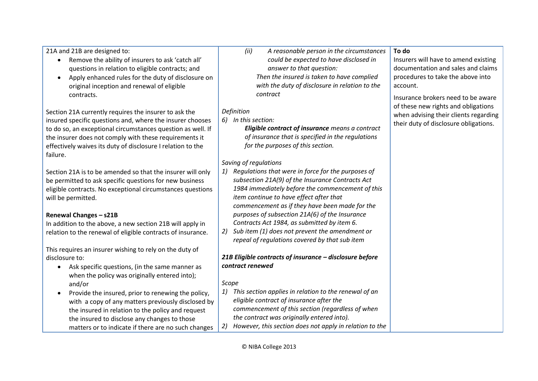21A and 21B are designed to:

- Remove the ability of insurers to ask 'catch all' questions in relation to eligible contracts; and
- Apply enhanced rules for the duty of disclosure on original inception and renewal of eligible contracts.

Section 21A currently requires the insurer to ask the insured specific questions and, where the insurer chooses to do so, an exceptional circumstances question as well. If the insurer does not comply with these requirements it effectively waives its duty of disclosure I relation to the failure.

Section 21A is to be amended so that the insurer will only be permitted to ask specific questions for new business eligible contracts. No exceptional circumstances questions will be permitted.

#### **Renewal Changes – s21B**

In addition to the above, a new section 21B will apply in relation to the renewal of eligible contracts of insurance.

This requires an insurer wishing to rely on the duty of disclosure to:

- Ask specific questions, (in the same manner as when the policy was originally entered into); and/or
- Provide the insured, prior to renewing the policy, with a copy of any matters previously disclosed by the insured in relation to the policy and request the insured to disclose any changes to those matters or to indicate if there are no such changes

*(ii) A reasonable person in the circumstances could be expected to have disclosed in answer to that question: Then the insured is taken to have complied with the duty of disclosure in relation to the contract*

#### *Definition*

*6) In this section:*

*Eligible contract of insurance means a contract of insurance that is specified in the regulations for the purposes of this section.*

# *Saving of regulations*

- *1) Regulations that were in force for the purposes of subsection 21A(9) of the Insurance Contracts Act 1984 immediately before the commencement of this item continue to have effect after that commencement as if they have been made for the purposes of subsection 21A(6) of the Insurance Contracts Act 1984, as submitted by item 6.*
- *2) Sub item (1) does not prevent the amendment or repeal of regulations covered by that sub item*

## *21B Eligible contracts of insurance – disclosure before contract renewed*

#### *Scope*

*1) This section applies in relation to the renewal of an eligible contract of insurance after the commencement of this section (regardless of when the contract was originally entered into). 2) However, this section does not apply in relation to the* 

#### **To do**

Insurers will have to amend existing documentation and sales and claims procedures to take the above into account.

Insurance brokers need to be aware of these new rights and obligations when advising their clients regarding their duty of disclosure obligations.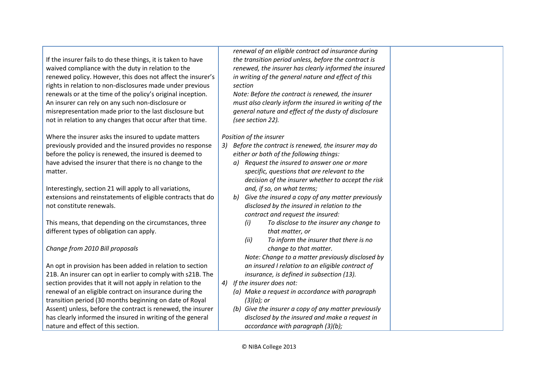If the insurer fails to do these things, it is taken to have waived compliance with the duty in relation to the renewed policy. However, this does not affect the insurer's rights in relation to non-disclosures made under previous renewals or at the time of the policy's original inception. An insurer can rely on any such non-disclosure or misrepresentation made prior to the last disclosure but not in relation to any changes that occur after that time.

Where the insurer asks the insured to update matters previously provided and the insured provides no response before the policy is renewed, the insured is deemed to have advised the insurer that there is no change to the matter.

Interestingly, section 21 will apply to all variations, extensions and reinstatements of eligible contracts that do not constitute renewals.

This means, that depending on the circumstances, three different types of obligation can apply.

#### *Change from 2010 Bill proposals*

An opt in provision has been added in relation to section 21B. An insurer can opt in earlier to comply with s21B. The section provides that it will not apply in relation to the renewal of an eligible contract on insurance during the transition period (30 months beginning on date of Royal Assent) unless, before the contract is renewed, the insurer has clearly informed the insured in writing of the general nature and effect of this section.

*renewal of an eligible contract od insurance during the transition period unless, before the contract is renewed, the insurer has clearly informed the insured in writing of the general nature and effect of this section*

*Note: Before the contract is renewed, the insurer must also clearly inform the insured in writing of the general nature and effect of the dusty of disclosure (see section 22).*

*Position of the insurer*

- *3) Before the contract is renewed, the insurer may do either or both of the following things:*
	- *a) Request the insured to answer one or more specific, questions that are relevant to the decision of the insurer whether to accept the risk and, if so, on what terms;*
	- *b) Give the insured a copy of any matter previously disclosed by the insured in relation to the contract and request the insured:* 
		- *(i) To disclose to the insurer any change to that matter, or*
		- *(ii) To inform the insurer that there is no change to that matter.*
		- *Note: Change to a matter previously disclosed by an insured I relation to an eligible contract of insurance, is defined in subsection (13).*
- *4) If the insurer does not:*
	- *(a) Make a request in accordance with paragraph (3)(a); or*
	- *(b) Give the insurer a copy of any matter previously disclosed by the insured and make a request in accordance with paragraph (3)(b);*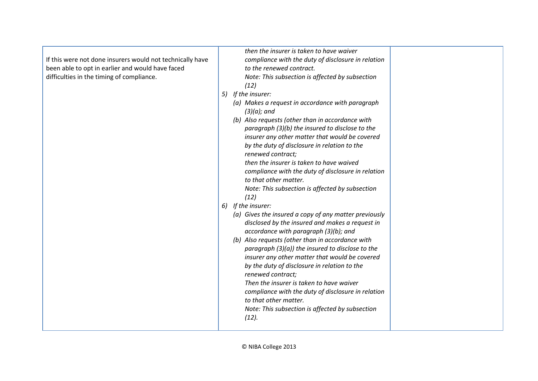|                                                           | then the insurer is taken to have waiver              |
|-----------------------------------------------------------|-------------------------------------------------------|
| If this were not done insurers would not technically have | compliance with the duty of disclosure in relation    |
| been able to opt in earlier and would have faced          | to the renewed contract.                              |
| difficulties in the timing of compliance.                 | Note: This subsection is affected by subsection       |
|                                                           | (12)                                                  |
|                                                           | 5) If the insurer:                                    |
|                                                           | (a) Makes a request in accordance with paragraph      |
|                                                           | $(3)(a)$ ; and                                        |
|                                                           | (b) Also requests (other than in accordance with      |
|                                                           | paragraph (3)(b) the insured to disclose to the       |
|                                                           | insurer any other matter that would be covered        |
|                                                           | by the duty of disclosure in relation to the          |
|                                                           | renewed contract;                                     |
|                                                           | then the insurer is taken to have waived              |
|                                                           | compliance with the duty of disclosure in relation    |
|                                                           | to that other matter.                                 |
|                                                           | Note: This subsection is affected by subsection       |
|                                                           | (12)                                                  |
|                                                           | 6) If the insurer:                                    |
|                                                           | (a) Gives the insured a copy of any matter previously |
|                                                           | disclosed by the insured and makes a request in       |
|                                                           | accordance with paragraph (3)(b); and                 |
|                                                           | (b) Also requests (other than in accordance with      |
|                                                           | paragraph $(3)(a)$ the insured to disclose to the     |
|                                                           | insurer any other matter that would be covered        |
|                                                           | by the duty of disclosure in relation to the          |
|                                                           | renewed contract;                                     |
|                                                           | Then the insurer is taken to have waiver              |
|                                                           | compliance with the duty of disclosure in relation    |
|                                                           | to that other matter.                                 |
|                                                           | Note: This subsection is affected by subsection       |
|                                                           | (12).                                                 |
|                                                           |                                                       |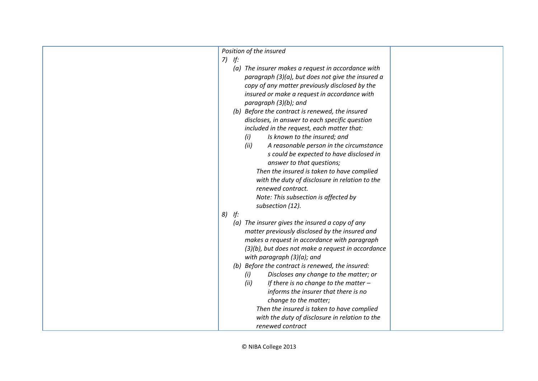| Position of the insured                                                                           |
|---------------------------------------------------------------------------------------------------|
| $7)$ If:                                                                                          |
| (a) The insurer makes a request in accordance with                                                |
| paragraph (3)(a), but does not give the insured a                                                 |
| copy of any matter previously disclosed by the                                                    |
| insured or make a request in accordance with                                                      |
| paragraph (3)(b); and                                                                             |
| (b) Before the contract is renewed, the insured                                                   |
| discloses, in answer to each specific question                                                    |
| included in the request, each matter that:                                                        |
| Is known to the insured; and<br>(i)                                                               |
| (ii)<br>A reasonable person in the circumstance                                                   |
| s could be expected to have disclosed in                                                          |
| answer to that questions;                                                                         |
| Then the insured is taken to have complied                                                        |
| with the duty of disclosure in relation to the                                                    |
| renewed contract.                                                                                 |
| Note: This subsection is affected by                                                              |
| subsection (12).                                                                                  |
| 8)<br>If:                                                                                         |
| (a) The insurer gives the insured a copy of any                                                   |
| matter previously disclosed by the insured and                                                    |
| makes a request in accordance with paragraph<br>(3)(b), but does not make a request in accordance |
|                                                                                                   |
| with paragraph $(3)(a)$ ; and<br>(b) Before the contract is renewed, the insured:                 |
| Discloses any change to the matter; or                                                            |
| (i)<br>If there is no change to the matter $-$<br>(ii)                                            |
| informs the insurer that there is no                                                              |
| change to the matter;                                                                             |
| Then the insured is taken to have complied                                                        |
| with the duty of disclosure in relation to the                                                    |
| renewed contract                                                                                  |
|                                                                                                   |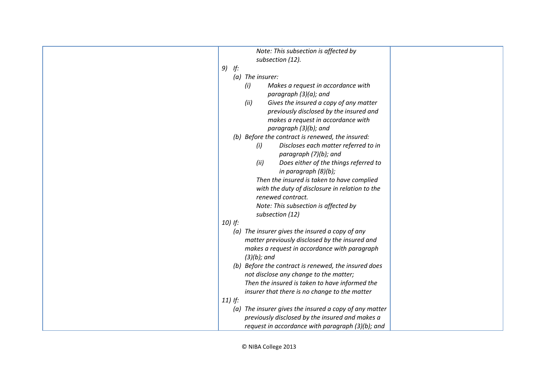| Note: This subsection is affected by                   |
|--------------------------------------------------------|
| subsection (12).                                       |
| $9)$ If:                                               |
| (a) The insurer:                                       |
| (i)<br>Makes a request in accordance with              |
| paragraph $(3)(a)$ ; and                               |
| Gives the insured a copy of any matter<br>(ii)         |
| previously disclosed by the insured and                |
| makes a request in accordance with                     |
| paragraph (3)(b); and                                  |
| (b) Before the contract is renewed, the insured:       |
| Discloses each matter referred to in<br>(i)            |
| paragraph (7)(b); and                                  |
| (ii)<br>Does either of the things referred to          |
| in paragraph $(8)(b)$ ;                                |
| Then the insured is taken to have complied             |
| with the duty of disclosure in relation to the         |
| renewed contract.                                      |
| Note: This subsection is affected by                   |
| subsection (12)                                        |
| $10)$ If:                                              |
| (a) The insurer gives the insured a copy of any        |
| matter previously disclosed by the insured and         |
| makes a request in accordance with paragraph           |
| $(3)(b)$ ; and                                         |
| (b) Before the contract is renewed, the insured does   |
| not disclose any change to the matter;                 |
| Then the insured is taken to have informed the         |
| insurer that there is no change to the matter          |
| $11)$ If:                                              |
| (a) The insurer gives the insured a copy of any matter |
| previously disclosed by the insured and makes a        |
| request in accordance with paragraph (3)(b); and       |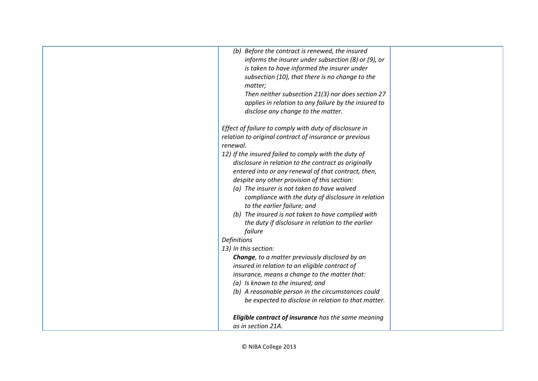| (b) Before the contract is renewed, the insured<br>informs the insurer under subsection (8) or (9), or<br>is taken to have informed the insurer under     |  |
|-----------------------------------------------------------------------------------------------------------------------------------------------------------|--|
| subsection (10), that there is no change to the<br>matter;                                                                                                |  |
| Then neither subsection 21(3) nor does section 27<br>applies in relation to any failure by the insured to<br>disclose any change to the matter.           |  |
| Effect of failure to comply with duty of disclosure in<br>relation to original contract of insurance or previous                                          |  |
| renewal.<br>12) If the insured failed to comply with the duty of<br>disclosure in relation to the contract as originally                                  |  |
| entered into or any renewal of that contract, then,<br>despite any other provision of this section:<br>(a) The insurer is not taken to have waived        |  |
| compliance with the duty of disclosure in relation<br>to the earlier failure; and<br>(b) The insured is not taken to have complied with                   |  |
| the duty if disclosure in relation to the earlier<br>failure                                                                                              |  |
| <b>Definitions</b><br>13) In this section:                                                                                                                |  |
| <b>Change</b> , to a matter previously disclosed by an<br>insured in relation to an eligible contract of<br>insurance, means a change to the matter that: |  |
| (a) Is known to the insured; and<br>(b) A reasonable person in the circumstances could                                                                    |  |
| be expected to disclose in relation to that matter.                                                                                                       |  |
| Eligible contract of insurance has the same meaning<br>as in section 21A.                                                                                 |  |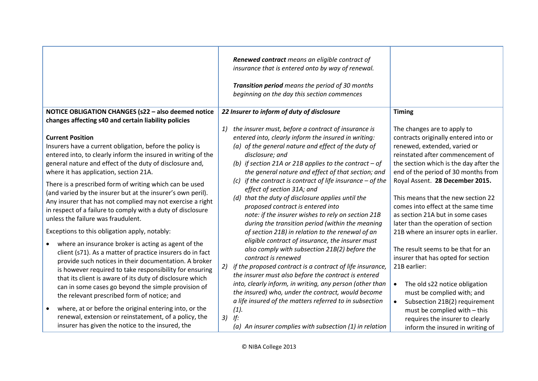|                                                                                                                                                                                                                                                                                                                                                                                                                                                                                                                                                         | Renewed contract means an eligible contract of<br>insurance that is entered onto by way of renewal.<br>Transition period means the period of 30 months<br>beginning on the day this section commences                                                                                                                                                                                                                                                                                                                                                       |                                                                                                                                                                                                                                                                                                                                                                             |
|---------------------------------------------------------------------------------------------------------------------------------------------------------------------------------------------------------------------------------------------------------------------------------------------------------------------------------------------------------------------------------------------------------------------------------------------------------------------------------------------------------------------------------------------------------|-------------------------------------------------------------------------------------------------------------------------------------------------------------------------------------------------------------------------------------------------------------------------------------------------------------------------------------------------------------------------------------------------------------------------------------------------------------------------------------------------------------------------------------------------------------|-----------------------------------------------------------------------------------------------------------------------------------------------------------------------------------------------------------------------------------------------------------------------------------------------------------------------------------------------------------------------------|
| NOTICE OBLIGATION CHANGES (s22 - also deemed notice                                                                                                                                                                                                                                                                                                                                                                                                                                                                                                     | 22 Insurer to inform of duty of disclosure                                                                                                                                                                                                                                                                                                                                                                                                                                                                                                                  | <b>Timing</b>                                                                                                                                                                                                                                                                                                                                                               |
| changes affecting s40 and certain liability policies                                                                                                                                                                                                                                                                                                                                                                                                                                                                                                    |                                                                                                                                                                                                                                                                                                                                                                                                                                                                                                                                                             |                                                                                                                                                                                                                                                                                                                                                                             |
| <b>Current Position</b><br>Insurers have a current obligation, before the policy is<br>entered into, to clearly inform the insured in writing of the<br>general nature and effect of the duty of disclosure and,<br>where it has application, section 21A.<br>There is a prescribed form of writing which can be used<br>(and varied by the insurer but at the insurer's own peril).<br>Any insurer that has not complied may not exercise a right<br>in respect of a failure to comply with a duty of disclosure<br>unless the failure was fraudulent. | the insurer must, before a contract of insurance is<br>1)<br>entered into, clearly inform the insured in writing:<br>(a) of the general nature and effect of the duty of<br>disclosure; and<br>(b) if section 21A or 21B applies to the contract $-$ of<br>the general nature and effect of that section; and<br>(c) if the contract is contract of life insurance $-$ of the<br>effect of section 31A; and<br>(d) that the duty of disclosure applies until the<br>proposed contract is entered into<br>note: if the insurer wishes to rely on section 21B | The changes are to apply to<br>contracts originally entered into or<br>renewed, extended, varied or<br>reinstated after commencement of<br>the section which is the day after the<br>end of the period of 30 months from<br>Royal Assent. 28 December 2015.<br>This means that the new section 22<br>comes into effect at the same time<br>as section 21A but in some cases |
| Exceptions to this obligation apply, notably:<br>where an insurance broker is acting as agent of the<br>client (s71). As a matter of practice insurers do in fact<br>provide such notices in their documentation. A broker<br>is however required to take responsibility for ensuring<br>that its client is aware of its duty of disclosure which<br>can in some cases go beyond the simple provision of<br>the relevant prescribed form of notice; and                                                                                                 | during the transition period (within the meaning<br>of section 21B) in relation to the renewal of an<br>eligible contract of insurance, the insurer must<br>also comply with subsection 21B(2) before the<br>contract is renewed<br>if the proposed contract is a contract of life insurance,<br>2)<br>the insurer must also before the contract is entered<br>into, clearly inform, in writing, any person (other than<br>the insured) who, under the contract, would become<br>a life insured of the matters referred to in subsection                    | later than the operation of section<br>21B where an insurer opts in earlier.<br>The result seems to be that for an<br>insurer that has opted for section<br>21B earlier:<br>The old s22 notice obligation<br>$\bullet$<br>must be complied with; and<br>Subsection 21B(2) requirement                                                                                       |
| where, at or before the original entering into, or the<br>$\bullet$<br>renewal, extension or reinstatement, of a policy, the<br>insurer has given the notice to the insured, the                                                                                                                                                                                                                                                                                                                                                                        | (1).<br>If:<br>3)<br>(a) An insurer complies with subsection $(1)$ in relation                                                                                                                                                                                                                                                                                                                                                                                                                                                                              | must be complied with - this<br>requires the insurer to clearly<br>inform the insured in writing of                                                                                                                                                                                                                                                                         |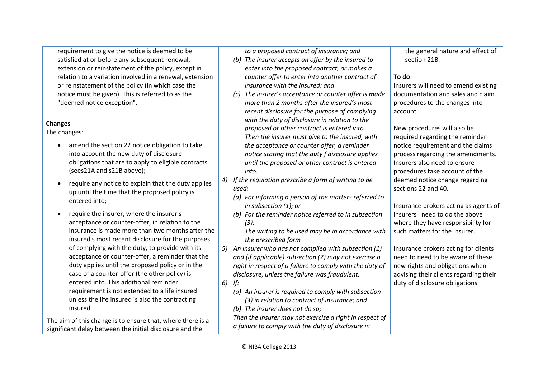requirement to give the notice is deemed to be satisfied at or before any subsequent renewal, extension or reinstatement of the policy, except in relation to a variation involved in a renewal, extension or reinstatement of the policy (in which case the notice must be given). This is referred to as the "deemed notice exception".

#### **Changes**

The changes:

- amend the section 22 notice obligation to take into account the new duty of disclosure obligations that are to apply to eligible contracts (sees21A and s21B above);
- require any notice to explain that the duty applies up until the time that the proposed policy is entered into;
- require the insurer, where the insurer's acceptance or counter-offer, in relation to the insurance is made more than two months after the insured's most recent disclosure for the purposes of complying with the duty, to provide with its acceptance or counter-offer, a reminder that the duty applies until the proposed policy or in the case of a counter-offer (the other policy) is entered into. This additional reminder requirement is not extended to a life insured unless the life insured is also the contracting insured.

The aim of this change is to ensure that, where there is a significant delay between the initial disclosure and the

*to a proposed contract of insurance; and*

- *(b) The insurer accepts an offer by the insured to enter into the proposed contract, or makes a counter offer to enter into another contract of insurance with the insured; and*
- *(c) The insurer's acceptance or counter offer is made more than 2 months after the insured's most recent disclosure for the purpose of complying with the duty of disclosure in relation to the proposed or other contract is entered into. Then the insurer must give to the insured, with the acceptance or counter offer, a reminder notice stating that the duty f disclosure applies until the proposed or other contract is entered into.*
- *4) If the regulation prescribe a form of writing to be used:*
	- *(a) For informing a person of the matters referred to in subsection (1); or*
	- *(b) For the reminder notice referred to in subsection (3);*

*The writing to be used may be in accordance with the prescribed form*

*5) An insurer who has not complied with subsection (1) and (if applicable) subsection (2) may not exercise a right in respect of a failure to comply with the duty of disclosure, unless the failure was fraudulent.*

*6) If:*

*(a) An insurer is required to comply with subsection (3) in relation to contract of insurance; and*

*(b) The insurer does not do so; Then the insurer may not exercise a right in respect of a failure to comply with the duty of disclosure in* 

the general nature and effect of section 21B.

## **To do**

Insurers will need to amend existing documentation and sales and claim procedures to the changes into account.

New procedures will also be required regarding the reminder notice requirement and the claims process regarding the amendments. Insurers also need to ensure procedures take account of the deemed notice change regarding sections 22 and 40.

Insurance brokers acting as agents of insurers I need to do the above where they have responsibility for such matters for the insurer.

Insurance brokers acting for clients need to need to be aware of these new rights and obligations when advising their clients regarding their duty of disclosure obligations.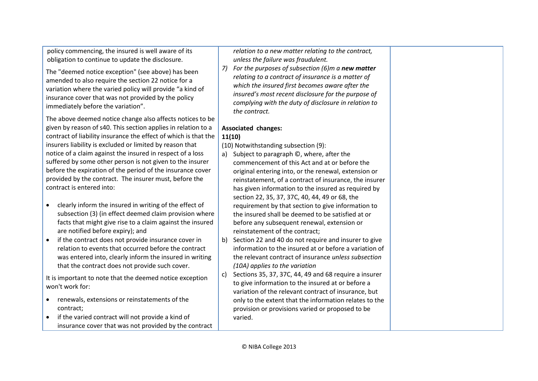policy commencing, the insured is well aware of its obligation to continue to update the disclosure.

The "deemed notice exception" (see above) has been amended to also require the section 22 notice for a variation where the varied policy will provide "a kind of insurance cover that was not provided by the policy immediately before the variation".

The above deemed notice change also affects notices to be given by reason of s40. This section applies in relation to a contract of liability insurance the effect of which is that the insurers liability is excluded or limited by reason that notice of a claim against the insured in respect of a loss suffered by some other person is not given to the insurer before the expiration of the period of the insurance cover provided by the contract. The insurer must, before the contract is entered into:

- clearly inform the insured in writing of the effect of subsection (3) (in effect deemed claim provision where facts that might give rise to a claim against the insured are notified before expiry); and
- if the contract does not provide insurance cover in relation to events that occurred before the contract was entered into, clearly inform the insured in writing that the contract does not provide such cover.

It is important to note that the deemed notice exception won't work for:

- renewals, extensions or reinstatements of the contract;
- if the varied contract will not provide a kind of insurance cover that was not provided by the contract

*relation to a new matter relating to the contract, unless the failure was fraudulent.* 

*7) For the purposes of subsection (6)m a new matter relating to a contract of insurance is a matter of which the insured first becomes aware after the insured's most recent disclosure for the purpose of complying with the duty of disclosure in relation to the contract.*

#### **Associated changes: 11(10)**

(10) Notwithstanding subsection (9):

- a) Subject to paragraph ©, where, after the commencement of this Act and at or before the original entering into, or the renewal, extension or reinstatement, of a contract of insurance, the insurer has given information to the insured as required by section 22, 35, 37, 37C, 40, 44, 49 or 68, the requirement by that section to give information to the insured shall be deemed to be satisfied at or before any subsequent renewal, extension or reinstatement of the contract;
- b) Section 22 and 40 do not require and insurer to give information to the insured at or before a variation of the relevant contract of insurance *unless subsection (10A) applies to the variation*
- c) Sections 35, 37, 37C, 44, 49 and 68 require a insurer to give information to the insured at or before a variation of the relevant contract of insurance, but only to the extent that the information relates to the provision or provisions varied or proposed to be varied.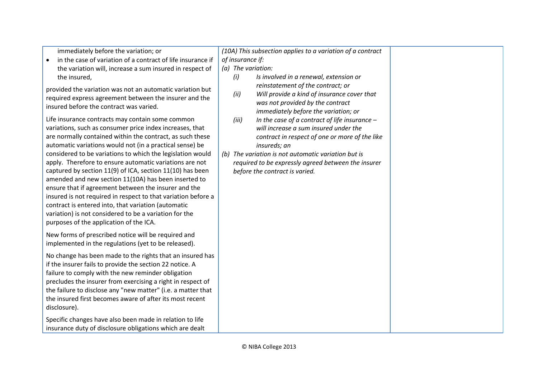| immediately before the variation; or                                                                                                                                                                                                                                                                                                                                                                                                                                                                                                                                                                                                                                                                                                                                                                                                                                                                                                       | (10A) This subsection applies to a variation of a contract                                                                                                                                                                                                                                                                                                                                                                                                                                  |  |
|--------------------------------------------------------------------------------------------------------------------------------------------------------------------------------------------------------------------------------------------------------------------------------------------------------------------------------------------------------------------------------------------------------------------------------------------------------------------------------------------------------------------------------------------------------------------------------------------------------------------------------------------------------------------------------------------------------------------------------------------------------------------------------------------------------------------------------------------------------------------------------------------------------------------------------------------|---------------------------------------------------------------------------------------------------------------------------------------------------------------------------------------------------------------------------------------------------------------------------------------------------------------------------------------------------------------------------------------------------------------------------------------------------------------------------------------------|--|
| in the case of variation of a contract of life insurance if                                                                                                                                                                                                                                                                                                                                                                                                                                                                                                                                                                                                                                                                                                                                                                                                                                                                                | of insurance if:                                                                                                                                                                                                                                                                                                                                                                                                                                                                            |  |
| the variation will, increase a sum insured in respect of                                                                                                                                                                                                                                                                                                                                                                                                                                                                                                                                                                                                                                                                                                                                                                                                                                                                                   | (a) The variation:                                                                                                                                                                                                                                                                                                                                                                                                                                                                          |  |
| the insured,                                                                                                                                                                                                                                                                                                                                                                                                                                                                                                                                                                                                                                                                                                                                                                                                                                                                                                                               | (i)<br>Is involved in a renewal, extension or                                                                                                                                                                                                                                                                                                                                                                                                                                               |  |
| provided the variation was not an automatic variation but<br>required express agreement between the insurer and the<br>insured before the contract was varied.<br>Life insurance contracts may contain some common<br>variations, such as consumer price index increases, that<br>are normally contained within the contract, as such these<br>automatic variations would not (in a practical sense) be<br>considered to be variations to which the legislation would<br>apply. Therefore to ensure automatic variations are not<br>captured by section 11(9) of ICA, section 11(10) has been<br>amended and new section 11(10A) has been inserted to<br>ensure that if agreement between the insurer and the<br>insured is not required in respect to that variation before a<br>contract is entered into, that variation (automatic<br>variation) is not considered to be a variation for the<br>purposes of the application of the ICA. | reinstatement of the contract; or<br>(ii)<br>Will provide a kind of insurance cover that<br>was not provided by the contract<br>immediately before the variation; or<br>(iii)<br>In the case of a contract of life insurance $-$<br>will increase a sum insured under the<br>contract in respect of one or more of the like<br>insureds; an<br>(b) The variation is not automatic variation but is<br>required to be expressly agreed between the insurer<br>before the contract is varied. |  |
| New forms of prescribed notice will be required and<br>implemented in the regulations (yet to be released).                                                                                                                                                                                                                                                                                                                                                                                                                                                                                                                                                                                                                                                                                                                                                                                                                                |                                                                                                                                                                                                                                                                                                                                                                                                                                                                                             |  |
| No change has been made to the rights that an insured has<br>if the insurer fails to provide the section 22 notice. A<br>failure to comply with the new reminder obligation<br>precludes the insurer from exercising a right in respect of<br>the failure to disclose any "new matter" (i.e. a matter that<br>the insured first becomes aware of after its most recent<br>disclosure).                                                                                                                                                                                                                                                                                                                                                                                                                                                                                                                                                     |                                                                                                                                                                                                                                                                                                                                                                                                                                                                                             |  |
| Specific changes have also been made in relation to life<br>insurance duty of disclosure obligations which are dealt                                                                                                                                                                                                                                                                                                                                                                                                                                                                                                                                                                                                                                                                                                                                                                                                                       |                                                                                                                                                                                                                                                                                                                                                                                                                                                                                             |  |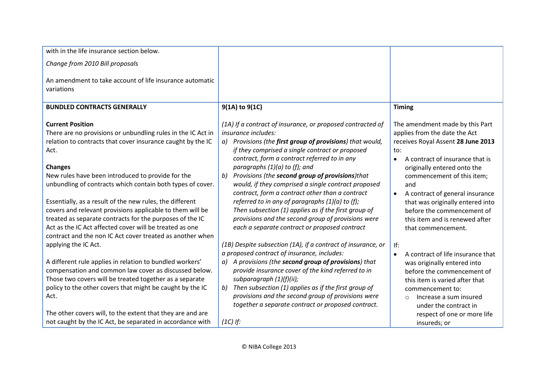| with in the life insurance section below.                                                                                                                                                                                                                                                                                                                                                                                                                                                                                                                                                                        |                                                                                                                                                                                                                                                                                                                                                                                                                                                                                                                                                                                                                                                                                   |                                                                                                                                                                                                                                                                                                                                                                                                             |
|------------------------------------------------------------------------------------------------------------------------------------------------------------------------------------------------------------------------------------------------------------------------------------------------------------------------------------------------------------------------------------------------------------------------------------------------------------------------------------------------------------------------------------------------------------------------------------------------------------------|-----------------------------------------------------------------------------------------------------------------------------------------------------------------------------------------------------------------------------------------------------------------------------------------------------------------------------------------------------------------------------------------------------------------------------------------------------------------------------------------------------------------------------------------------------------------------------------------------------------------------------------------------------------------------------------|-------------------------------------------------------------------------------------------------------------------------------------------------------------------------------------------------------------------------------------------------------------------------------------------------------------------------------------------------------------------------------------------------------------|
| Change from 2010 Bill proposals                                                                                                                                                                                                                                                                                                                                                                                                                                                                                                                                                                                  |                                                                                                                                                                                                                                                                                                                                                                                                                                                                                                                                                                                                                                                                                   |                                                                                                                                                                                                                                                                                                                                                                                                             |
| An amendment to take account of life insurance automatic<br>variations                                                                                                                                                                                                                                                                                                                                                                                                                                                                                                                                           |                                                                                                                                                                                                                                                                                                                                                                                                                                                                                                                                                                                                                                                                                   |                                                                                                                                                                                                                                                                                                                                                                                                             |
| <b>BUNDLED CONTRACTS GENERALLY</b>                                                                                                                                                                                                                                                                                                                                                                                                                                                                                                                                                                               | $9(1A)$ to $9(1C)$                                                                                                                                                                                                                                                                                                                                                                                                                                                                                                                                                                                                                                                                | <b>Timing</b>                                                                                                                                                                                                                                                                                                                                                                                               |
| <b>Current Position</b><br>There are no provisions or unbundling rules in the IC Act in<br>relation to contracts that cover insurance caught by the IC<br>Act.<br><b>Changes</b><br>New rules have been introduced to provide for the<br>unbundling of contracts which contain both types of cover.<br>Essentially, as a result of the new rules, the different<br>covers and relevant provisions applicable to them will be<br>treated as separate contracts for the purposes of the IC<br>Act as the IC Act affected cover will be treated as one<br>contract and the non IC Act cover treated as another when | (1A) If a contract of insurance, or proposed contracted of<br>insurance includes:<br>a) Provisions (the first group of provisions) that would,<br>if they comprised a single contract or proposed<br>contract, form a contract referred to in any<br>paragraphs $(1)(a)$ to $(f)$ ; and<br>Provisions (the second group of provisions)that<br>b)<br>would, if they comprised a single contract proposed<br>contract, form a contract other than a contract<br>referred to in any of paragraphs $(1)(a)$ to $(f)$ ;<br>Then subsection (1) applies as if the first group of<br>provisions and the second group of provisions were<br>each a separate contract or proposed contract | The amendment made by this Part<br>applies from the date the Act<br>receives Royal Assent 28 June 2013<br>to:<br>A contract of insurance that is<br>$\bullet$<br>originally entered onto the<br>commencement of this item;<br>and<br>A contract of general insurance<br>$\bullet$<br>that was originally entered into<br>before the commencement of<br>this item and is renewed after<br>that commencement. |
| applying the IC Act.<br>A different rule applies in relation to bundled workers'<br>compensation and common law cover as discussed below.<br>Those two covers will be treated together as a separate<br>policy to the other covers that might be caught by the IC<br>Act.<br>The other covers will, to the extent that they are and are<br>not caught by the IC Act, be separated in accordance with                                                                                                                                                                                                             | (1B) Despite subsection (1A), if a contract of insurance, or<br>a proposed contract of insurance, includes:<br>a) A provisions (the second group of provisions) that<br>provide insurance cover of the kind referred to in<br>subparagraph $(1)(f)(ii)$ ;<br>Then subsection (1) applies as if the first group of<br>b)<br>provisions and the second group of provisions were<br>together a separate contract or proposed contract.<br>$(1C)$ If:                                                                                                                                                                                                                                 | If:<br>A contract of life insurance that<br>$\bullet$<br>was originally entered into<br>before the commencement of<br>this item is varied after that<br>commencement to:<br>Increase a sum insured<br>$\circ$<br>under the contract in<br>respect of one or more life<br>insureds; or                                                                                                                       |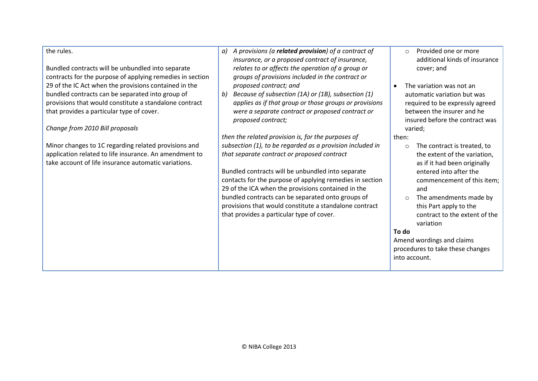#### the rules.

Bundled contracts will be unbundled into separate contracts for the purpose of applying remedies in section 29 of the IC Act when the provisions contained in the bundled contracts can be separated into group of provisions that would constitute a standalone contract that provides a particular type of cover.

#### *Change from 2010 Bill proposals*

Minor changes to 1C regarding related provisions and application related to life insurance. An amendment to take account of life insurance automatic variations.

- *a) A provisions (a related provision) of a contract of insurance, or a proposed contract of insurance, relates to or affects the operation of a group or groups of provisions included in the contract or proposed contract; and*
- *b) Because of subsection (1A) or (1B), subsection (1) applies as if that group or those groups or provisions were a separate contract or proposed contract or proposed contract;*

*then the related provision is, for the purposes of subsection (1), to be regarded as a provision included in that separate contract or proposed contract*

Bundled contracts will be unbundled into separate contacts for the purpose of applying remedies in section 29 of the ICA when the provisions contained in the bundled contracts can be separated onto groups of provisions that would constitute a standalone contract that provides a particular type of cover.

- o Provided one or more additional kinds of insurance cover; and
- The variation was not an automatic variation but was required to be expressly agreed between the insurer and he insured before the contract was varied;

#### then:

- o The contract is treated, to the extent of the variation, as if it had been originally entered into after the commencement of this item; and
- o The amendments made by this Part apply to the contract to the extent of the variation

#### **To do**

Amend wordings and claims procedures to take these changes into account.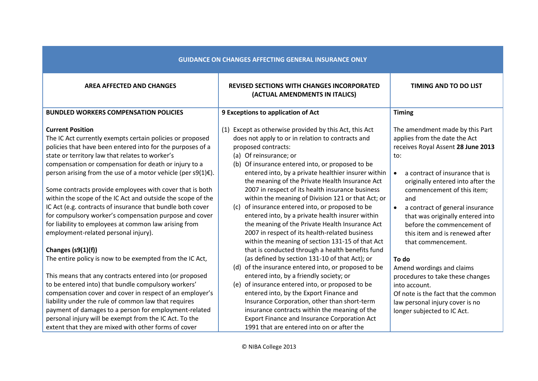| <b>GUIDANCE ON CHANGES AFFECTING GENERAL INSURANCE ONLY</b>                                                                                                                                                                                                                                                                                                                                                                                                                                                                                                                                                                                                                                      |                                                                                                                                                                                                                                                                                                                                                                                                                                                                                                                                                                                                                                                                                                          |                                                                                                                                                                                                                                                                                                                                                                                                                   |
|--------------------------------------------------------------------------------------------------------------------------------------------------------------------------------------------------------------------------------------------------------------------------------------------------------------------------------------------------------------------------------------------------------------------------------------------------------------------------------------------------------------------------------------------------------------------------------------------------------------------------------------------------------------------------------------------------|----------------------------------------------------------------------------------------------------------------------------------------------------------------------------------------------------------------------------------------------------------------------------------------------------------------------------------------------------------------------------------------------------------------------------------------------------------------------------------------------------------------------------------------------------------------------------------------------------------------------------------------------------------------------------------------------------------|-------------------------------------------------------------------------------------------------------------------------------------------------------------------------------------------------------------------------------------------------------------------------------------------------------------------------------------------------------------------------------------------------------------------|
| <b>AREA AFFECTED AND CHANGES</b>                                                                                                                                                                                                                                                                                                                                                                                                                                                                                                                                                                                                                                                                 | <b>REVISED SECTIONS WITH CHANGES INCORPORATED</b><br>(ACTUAL AMENDMENTS IN ITALICS)                                                                                                                                                                                                                                                                                                                                                                                                                                                                                                                                                                                                                      | <b>TIMING AND TO DO LIST</b>                                                                                                                                                                                                                                                                                                                                                                                      |
| <b>BUNDLED WORKERS COMPENSATION POLICIES</b>                                                                                                                                                                                                                                                                                                                                                                                                                                                                                                                                                                                                                                                     | 9 Exceptions to application of Act                                                                                                                                                                                                                                                                                                                                                                                                                                                                                                                                                                                                                                                                       | <b>Timing</b>                                                                                                                                                                                                                                                                                                                                                                                                     |
| <b>Current Position</b><br>The IC Act currently exempts certain policies or proposed<br>policies that have been entered into for the purposes of a<br>state or territory law that relates to worker's<br>compensation or compensation for death or injury to a<br>person arising from the use of a motor vehicle (per s9(1) $\varepsilon$ ).<br>Some contracts provide employees with cover that is both<br>within the scope of the IC Act and outside the scope of the<br>IC Act (e.g. contracts of insurance that bundle both cover<br>for compulsory worker's compensation purpose and cover<br>for liability to employees at common law arising from<br>employment-related personal injury). | (1) Except as otherwise provided by this Act, this Act<br>does not apply to or in relation to contracts and<br>proposed contracts:<br>(a) Of reinsurance; or<br>(b) Of insurance entered into, or proposed to be<br>entered into, by a private healthier insurer within<br>the meaning of the Private Health Insurance Act<br>2007 in respect of its health insurance business<br>within the meaning of Division 121 or that Act; or<br>of insurance entered into, or proposed to be<br>(c)<br>entered into, by a private health insurer within<br>the meaning of the Private Health Insurance Act<br>2007 in respect of its health-related business<br>within the meaning of section 131-15 of that Act | The amendment made by this Part<br>applies from the date the Act<br>receives Royal Assent 28 June 2013<br>to:<br>a contract of insurance that is<br>$\bullet$<br>originally entered into after the<br>commencement of this item;<br>and<br>a contract of general insurance<br>$\bullet$<br>that was originally entered into<br>before the commencement of<br>this item and is renewed after<br>that commencement. |
| Changes (s9(1)(f))<br>The entire policy is now to be exempted from the IC Act,                                                                                                                                                                                                                                                                                                                                                                                                                                                                                                                                                                                                                   | that is conducted through a health benefits fund<br>(as defined by section 131-10 of that Act); or                                                                                                                                                                                                                                                                                                                                                                                                                                                                                                                                                                                                       | To do                                                                                                                                                                                                                                                                                                                                                                                                             |
| This means that any contracts entered into (or proposed<br>to be entered into) that bundle compulsory workers'<br>compensation cover and cover in respect of an employer's<br>liability under the rule of common law that requires<br>payment of damages to a person for employment-related<br>personal injury will be exempt from the IC Act. To the<br>extent that they are mixed with other forms of cover                                                                                                                                                                                                                                                                                    | (d) of the insurance entered into, or proposed to be<br>entered into, by a friendly society; or<br>(e) of insurance entered into, or proposed to be<br>entered into, by the Export Finance and<br>Insurance Corporation, other than short-term<br>insurance contracts within the meaning of the<br>Export Finance and Insurance Corporation Act<br>1991 that are entered into on or after the                                                                                                                                                                                                                                                                                                            | Amend wordings and claims<br>procedures to take these changes<br>into account.<br>Of note is the fact that the common<br>law personal injury cover is no<br>longer subjected to IC Act.                                                                                                                                                                                                                           |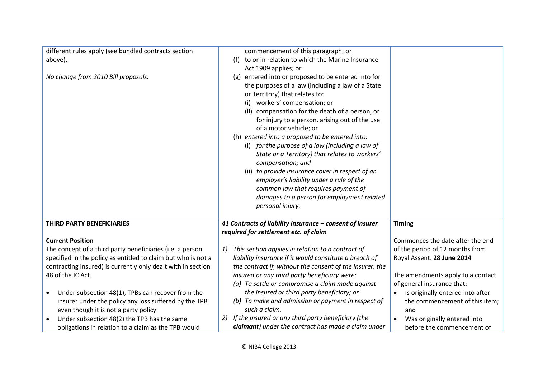| different rules apply (see bundled contracts section           | commencement of this paragraph; or                       |                                   |
|----------------------------------------------------------------|----------------------------------------------------------|-----------------------------------|
| above).                                                        | (f) to or in relation to which the Marine Insurance      |                                   |
|                                                                | Act 1909 applies; or                                     |                                   |
| No change from 2010 Bill proposals.                            | (g) entered into or proposed to be entered into for      |                                   |
|                                                                | the purposes of a law (including a law of a State        |                                   |
|                                                                | or Territory) that relates to:                           |                                   |
|                                                                | (i) workers' compensation; or                            |                                   |
|                                                                | (ii) compensation for the death of a person, or          |                                   |
|                                                                | for injury to a person, arising out of the use           |                                   |
|                                                                | of a motor vehicle; or                                   |                                   |
|                                                                | (h) entered into a proposed to be entered into:          |                                   |
|                                                                | (i) for the purpose of a law (including a law of         |                                   |
|                                                                | State or a Territory) that relates to workers'           |                                   |
|                                                                | compensation; and                                        |                                   |
|                                                                | (ii) to provide insurance cover in respect of an         |                                   |
|                                                                | employer's liability under a rule of the                 |                                   |
|                                                                | common law that requires payment of                      |                                   |
|                                                                | damages to a person for employment related               |                                   |
|                                                                | personal injury.                                         |                                   |
|                                                                |                                                          |                                   |
| THIRD PARTY BENEFICIARIES                                      | 41 Contracts of liability insurance - consent of insurer | <b>Timing</b>                     |
|                                                                | required for settlement etc. of claim                    |                                   |
| <b>Current Position</b>                                        |                                                          | Commences the date after the end  |
| The concept of a third party beneficiaries (i.e. a person      | This section applies in relation to a contract of<br>1)  | of the period of 12 months from   |
| specified in the policy as entitled to claim but who is not a  | liability insurance if it would constitute a breach of   | Royal Assent. 28 June 2014        |
| contracting insured) is currently only dealt with in section   | the contract if, without the consent of the insurer, the |                                   |
| 48 of the IC Act.                                              | insured or any third party beneficiary were:             | The amendments apply to a contact |
|                                                                | (a) To settle or compromise a claim made against         | of general insurance that:        |
| Under subsection 48(1), TPBs can recover from the<br>$\bullet$ | the insured or third party beneficiary; or               | Is originally entered into after  |
| insurer under the policy any loss suffered by the TPB          | (b) To make and admission or payment in respect of       | the commencement of this item;    |
| even though it is not a party policy.                          | such a claim.                                            | and                               |
| Under subsection 48(2) the TPB has the same                    | If the insured or any third party beneficiary (the<br>2) | Was originally entered into       |
| obligations in relation to a claim as the TPB would            | claimant) under the contract has made a claim under      | before the commencement of        |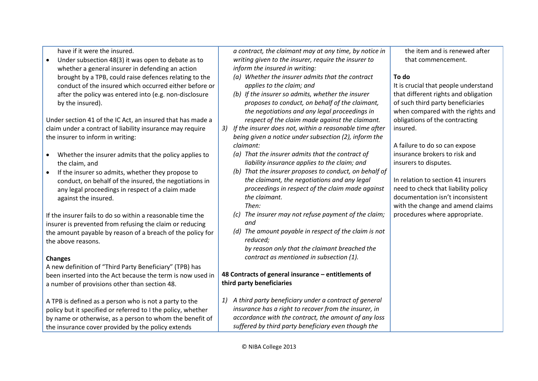have if it were the insured.

 Under subsection 48(3) it was open to debate as to whether a general insurer in defending an action brought by a TPB, could raise defences relating to the conduct of the insured which occurred either before or after the policy was entered into (e.g. non-disclosure by the insured).

Under section 41 of the IC Act, an insured that has made a claim under a contract of liability insurance may require the insurer to inform in writing:

- Whether the insurer admits that the policy applies to the claim, and
- If the insurer so admits, whether they propose to conduct, on behalf of the insured, the negotiations in any legal proceedings in respect of a claim made against the insured.

If the insurer fails to do so within a reasonable time the insurer is prevented from refusing the claim or reducing the amount payable by reason of a breach of the policy for the above reasons.

#### **Changes**

A new definition of "Third Party Beneficiary" (TPB) has been inserted into the Act because the term is now used in a number of provisions other than section 48.

A TPB is defined as a person who is not a party to the policy but it specified or referred to I the policy, whether by name or otherwise, as a person to whom the benefit of the insurance cover provided by the policy extends

*a contract, the claimant may at any time, by notice in writing given to the insurer, require the insurer to inform the insured in writing:*

- *(a) Whether the insurer admits that the contract applies to the claim; and*
- *(b) If the insurer so admits, whether the insurer proposes to conduct, on behalf of the claimant, the negotiations and any legal proceedings in respect of the claim made against the claimant.*
- *3) If the insurer does not, within a reasonable time after being given a notice under subsection (2), inform the claimant:*
	- *(a) That the insurer admits that the contract of liability insurance applies to the claim; and*
	- *(b) That the insurer proposes to conduct, on behalf of the claimant, the negotiations and any legal proceedings in respect of the claim made against the claimant.*
		- *Then:*
	- *(c) The insurer may not refuse payment of the claim; and*
	- *(d) The amount payable in respect of the claim is not reduced;*

*by reason only that the claimant breached the contract as mentioned in subsection (1).*

## **48 Contracts of general insurance – entitlements of third party beneficiaries**

*1) A third party beneficiary under a contract of general insurance has a right to recover from the insurer, in accordance with the contract, the amount of any loss suffered by third party beneficiary even though the* 

the item and is renewed after that commencement.

# **To do**

It is crucial that people understand that different rights and obligation of such third party beneficiaries when compared with the rights and obligations of the contracting insured.

A failure to do so can expose insurance brokers to risk and insurers to disputes.

In relation to section 41 insurers need to check that liability policy documentation isn't inconsistent with the change and amend claims procedures where appropriate.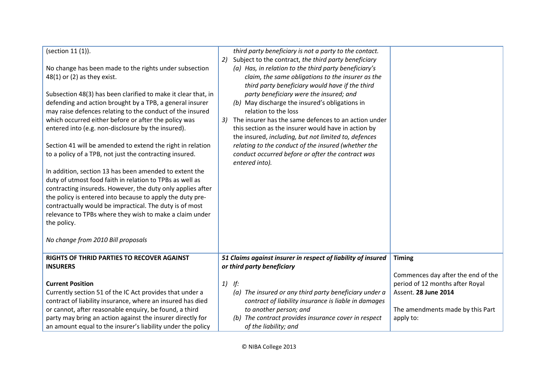| (section 11 (1)).<br>No change has been made to the rights under subsection<br>$48(1)$ or (2) as they exist.<br>Subsection 48(3) has been clarified to make it clear that, in<br>defending and action brought by a TPB, a general insurer<br>may raise defences relating to the conduct of the insured<br>which occurred either before or after the policy was<br>entered into (e.g. non-disclosure by the insured).<br>Section 41 will be amended to extend the right in relation<br>to a policy of a TPB, not just the contracting insured.<br>In addition, section 13 has been amended to extent the<br>duty of utmost food faith in relation to TPBs as well as<br>contracting insureds. However, the duty only applies after<br>the policy is entered into because to apply the duty pre-<br>contractually would be impractical. The duty is of most<br>relevance to TPBs where they wish to make a claim under<br>the policy.<br>No change from 2010 Bill proposals | third party beneficiary is not a party to the contact.<br>Subject to the contract, the third party beneficiary<br>2)<br>(a) Has, in relation to the third party beneficiary's<br>claim, the same obligations to the insurer as the<br>third party beneficiary would have if the third<br>party beneficiary were the insured; and<br>(b) May discharge the insured's obligations in<br>relation to the loss<br>The insurer has the same defences to an action under<br>3)<br>this section as the insurer would have in action by<br>the insured, including, but not limited to, defences<br>relating to the conduct of the insured (whether the<br>conduct occurred before or after the contract was<br>entered into). |                                                     |
|---------------------------------------------------------------------------------------------------------------------------------------------------------------------------------------------------------------------------------------------------------------------------------------------------------------------------------------------------------------------------------------------------------------------------------------------------------------------------------------------------------------------------------------------------------------------------------------------------------------------------------------------------------------------------------------------------------------------------------------------------------------------------------------------------------------------------------------------------------------------------------------------------------------------------------------------------------------------------|-----------------------------------------------------------------------------------------------------------------------------------------------------------------------------------------------------------------------------------------------------------------------------------------------------------------------------------------------------------------------------------------------------------------------------------------------------------------------------------------------------------------------------------------------------------------------------------------------------------------------------------------------------------------------------------------------------------------------|-----------------------------------------------------|
| RIGHTS OF THRID PARTIES TO RECOVER AGAINST<br><b>INSURERS</b>                                                                                                                                                                                                                                                                                                                                                                                                                                                                                                                                                                                                                                                                                                                                                                                                                                                                                                             | 51 Claims against insurer in respect of liability of insured<br>or third party beneficiary                                                                                                                                                                                                                                                                                                                                                                                                                                                                                                                                                                                                                            | <b>Timing</b><br>Commences day after the end of the |
| <b>Current Position</b>                                                                                                                                                                                                                                                                                                                                                                                                                                                                                                                                                                                                                                                                                                                                                                                                                                                                                                                                                   | 1)<br>lf:                                                                                                                                                                                                                                                                                                                                                                                                                                                                                                                                                                                                                                                                                                             | period of 12 months after Royal                     |
| Currently section 51 of the IC Act provides that under a                                                                                                                                                                                                                                                                                                                                                                                                                                                                                                                                                                                                                                                                                                                                                                                                                                                                                                                  | (a) The insured or any third party beneficiary under a                                                                                                                                                                                                                                                                                                                                                                                                                                                                                                                                                                                                                                                                | Assent. 28 June 2014                                |
| contract of liability insurance, where an insured has died                                                                                                                                                                                                                                                                                                                                                                                                                                                                                                                                                                                                                                                                                                                                                                                                                                                                                                                | contract of liability insurance is liable in damages                                                                                                                                                                                                                                                                                                                                                                                                                                                                                                                                                                                                                                                                  |                                                     |
| or cannot, after reasonable enquiry, be found, a third                                                                                                                                                                                                                                                                                                                                                                                                                                                                                                                                                                                                                                                                                                                                                                                                                                                                                                                    | to another person; and                                                                                                                                                                                                                                                                                                                                                                                                                                                                                                                                                                                                                                                                                                | The amendments made by this Part                    |
| party may bring an action against the insurer directly for                                                                                                                                                                                                                                                                                                                                                                                                                                                                                                                                                                                                                                                                                                                                                                                                                                                                                                                | (b) The contract provides insurance cover in respect                                                                                                                                                                                                                                                                                                                                                                                                                                                                                                                                                                                                                                                                  | apply to:                                           |
| an amount equal to the insurer's liability under the policy                                                                                                                                                                                                                                                                                                                                                                                                                                                                                                                                                                                                                                                                                                                                                                                                                                                                                                               | of the liability; and                                                                                                                                                                                                                                                                                                                                                                                                                                                                                                                                                                                                                                                                                                 |                                                     |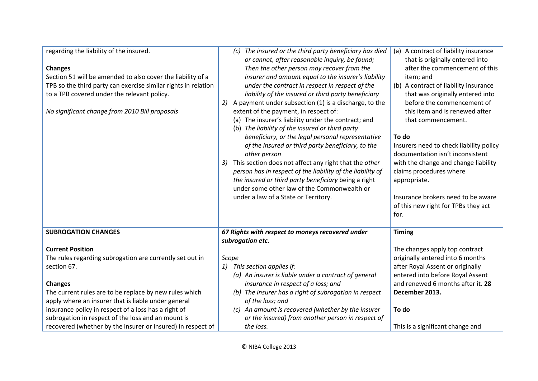| regarding the liability of the insured.<br><b>Changes</b><br>Section 51 will be amended to also cover the liability of a<br>TPB so the third party can exercise similar rights in relation<br>to a TPB covered under the relevant policy.<br>No significant change from 2010 Bill proposals | (c) The insured or the third party beneficiary has died<br>or cannot, after reasonable inquiry, be found;<br>Then the other person may recover from the<br>insurer and amount equal to the insurer's liability<br>under the contract in respect in respect of the<br>liability of the insured or third party beneficiary<br>A payment under subsection (1) is a discharge, to the<br>extent of the payment, in respect of:<br>(a) The insurer's liability under the contract; and<br>(b) The liability of the insured or third party<br>beneficiary, or the legal personal representative<br>of the insured or third party beneficiary, to the<br>other person<br>This section does not affect any right that the other<br>3)<br>person has in respect of the liability of the liability of<br>the insured or third party beneficiary being a right<br>under some other law of the Commonwealth or<br>under a law of a State or Territory. | (a) A contract of liability insurance<br>that is originally entered into<br>after the commencement of this<br>item; and<br>(b) A contract of liability insurance<br>that was originally entered into<br>before the commencement of<br>this item and is renewed after<br>that commencement.<br>To do<br>Insurers need to check liability policy<br>documentation isn't inconsistent<br>with the change and change liability<br>claims procedures where<br>appropriate.<br>Insurance brokers need to be aware<br>of this new right for TPBs they act<br>for. |
|---------------------------------------------------------------------------------------------------------------------------------------------------------------------------------------------------------------------------------------------------------------------------------------------|--------------------------------------------------------------------------------------------------------------------------------------------------------------------------------------------------------------------------------------------------------------------------------------------------------------------------------------------------------------------------------------------------------------------------------------------------------------------------------------------------------------------------------------------------------------------------------------------------------------------------------------------------------------------------------------------------------------------------------------------------------------------------------------------------------------------------------------------------------------------------------------------------------------------------------------------|------------------------------------------------------------------------------------------------------------------------------------------------------------------------------------------------------------------------------------------------------------------------------------------------------------------------------------------------------------------------------------------------------------------------------------------------------------------------------------------------------------------------------------------------------------|
| <b>SUBROGATION CHANGES</b>                                                                                                                                                                                                                                                                  | 67 Rights with respect to moneys recovered under<br>subrogation etc.                                                                                                                                                                                                                                                                                                                                                                                                                                                                                                                                                                                                                                                                                                                                                                                                                                                                       | <b>Timing</b>                                                                                                                                                                                                                                                                                                                                                                                                                                                                                                                                              |
| <b>Current Position</b>                                                                                                                                                                                                                                                                     |                                                                                                                                                                                                                                                                                                                                                                                                                                                                                                                                                                                                                                                                                                                                                                                                                                                                                                                                            | The changes apply top contract                                                                                                                                                                                                                                                                                                                                                                                                                                                                                                                             |
| The rules regarding subrogation are currently set out in                                                                                                                                                                                                                                    | Scope                                                                                                                                                                                                                                                                                                                                                                                                                                                                                                                                                                                                                                                                                                                                                                                                                                                                                                                                      | originally entered into 6 months                                                                                                                                                                                                                                                                                                                                                                                                                                                                                                                           |
| section 67.                                                                                                                                                                                                                                                                                 | 1) This section applies if:                                                                                                                                                                                                                                                                                                                                                                                                                                                                                                                                                                                                                                                                                                                                                                                                                                                                                                                | after Royal Assent or originally                                                                                                                                                                                                                                                                                                                                                                                                                                                                                                                           |
|                                                                                                                                                                                                                                                                                             | (a) An insurer is liable under a contract of general                                                                                                                                                                                                                                                                                                                                                                                                                                                                                                                                                                                                                                                                                                                                                                                                                                                                                       | entered into before Royal Assent                                                                                                                                                                                                                                                                                                                                                                                                                                                                                                                           |
| <b>Changes</b>                                                                                                                                                                                                                                                                              | insurance in respect of a loss; and                                                                                                                                                                                                                                                                                                                                                                                                                                                                                                                                                                                                                                                                                                                                                                                                                                                                                                        | and renewed 6 months after it. 28                                                                                                                                                                                                                                                                                                                                                                                                                                                                                                                          |
| The current rules are to be replace by new rules which                                                                                                                                                                                                                                      | (b) The insurer has a right of subrogation in respect                                                                                                                                                                                                                                                                                                                                                                                                                                                                                                                                                                                                                                                                                                                                                                                                                                                                                      | December 2013.                                                                                                                                                                                                                                                                                                                                                                                                                                                                                                                                             |
| apply where an insurer that is liable under general                                                                                                                                                                                                                                         | of the loss; and                                                                                                                                                                                                                                                                                                                                                                                                                                                                                                                                                                                                                                                                                                                                                                                                                                                                                                                           |                                                                                                                                                                                                                                                                                                                                                                                                                                                                                                                                                            |
| insurance policy in respect of a loss has a right of                                                                                                                                                                                                                                        | (c) An amount is recovered (whether by the insurer                                                                                                                                                                                                                                                                                                                                                                                                                                                                                                                                                                                                                                                                                                                                                                                                                                                                                         | To do                                                                                                                                                                                                                                                                                                                                                                                                                                                                                                                                                      |
| subrogation in respect of the loss and an mount is                                                                                                                                                                                                                                          | or the insured) from another person in respect of                                                                                                                                                                                                                                                                                                                                                                                                                                                                                                                                                                                                                                                                                                                                                                                                                                                                                          |                                                                                                                                                                                                                                                                                                                                                                                                                                                                                                                                                            |
| recovered (whether by the insurer or insured) in respect of                                                                                                                                                                                                                                 | the loss.                                                                                                                                                                                                                                                                                                                                                                                                                                                                                                                                                                                                                                                                                                                                                                                                                                                                                                                                  | This is a significant change and                                                                                                                                                                                                                                                                                                                                                                                                                                                                                                                           |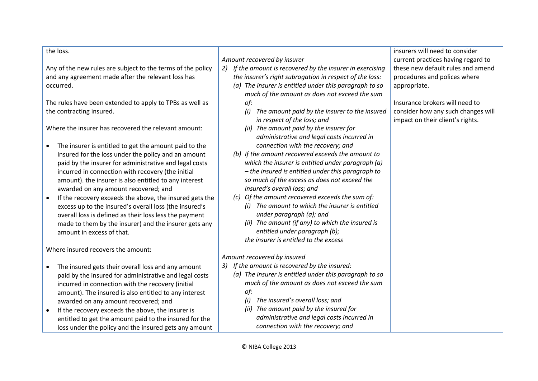| the loss.                                                            |                                                               | insurers will need to consider     |
|----------------------------------------------------------------------|---------------------------------------------------------------|------------------------------------|
|                                                                      | Amount recovered by insurer                                   | current practices having regard to |
| Any of the new rules are subject to the terms of the policy          | If the amount is recovered by the insurer in exercising<br>2) | these new default rules and amend  |
| and any agreement made after the relevant loss has                   | the insurer's right subrogation in respect of the loss:       | procedures and polices where       |
| occurred.                                                            | (a) The insurer is entitled under this paragraph to so        | appropriate.                       |
|                                                                      | much of the amount as does not exceed the sum                 |                                    |
| The rules have been extended to apply to TPBs as well as             | of:                                                           | Insurance brokers will need to     |
| the contracting insured.                                             | The amount paid by the insurer to the insured<br>(i)          | consider how any such changes will |
|                                                                      | in respect of the loss; and                                   | impact on their client's rights.   |
| Where the insurer has recovered the relevant amount:                 | (ii) The amount paid by the insurer for                       |                                    |
|                                                                      | administrative and legal costs incurred in                    |                                    |
| The insurer is entitled to get the amount paid to the<br>$\bullet$   | connection with the recovery; and                             |                                    |
| insured for the loss under the policy and an amount                  | (b) If the amount recovered exceeds the amount to             |                                    |
| paid by the insurer for administrative and legal costs               | which the insurer is entitled under paragraph (a)             |                                    |
| incurred in connection with recovery (the initial                    | - the insured is entitled under this paragraph to             |                                    |
| amount). the insurer is also entitled to any interest                | so much of the excess as does not exceed the                  |                                    |
| awarded on any amount recovered; and                                 | insured's overall loss; and                                   |                                    |
| If the recovery exceeds the above, the insured gets the<br>$\bullet$ | (c) Of the amount recovered exceeds the sum of:               |                                    |
| excess up to the insured's overall loss (the insured's               | (i) The amount to which the insurer is entitled               |                                    |
| overall loss is defined as their loss less the payment               | under paragraph (a); and                                      |                                    |
| made to them by the insurer) and the insurer gets any                | (ii) The amount (if any) to which the insured is              |                                    |
| amount in excess of that.                                            | entitled under paragraph (b);                                 |                                    |
|                                                                      | the insurer is entitled to the excess                         |                                    |
| Where insured recovers the amount:                                   |                                                               |                                    |
|                                                                      | Amount recovered by insured                                   |                                    |
| The insured gets their overall loss and any amount<br>$\bullet$      | If the amount is recovered by the insured:<br>3)              |                                    |
| paid by the insured for administrative and legal costs               | (a) The insurer is entitled under this paragraph to so        |                                    |
| incurred in connection with the recovery (initial                    | much of the amount as does not exceed the sum                 |                                    |
| amount). The insured is also entitled to any interest                | of:                                                           |                                    |
| awarded on any amount recovered; and                                 | The insured's overall loss; and<br>(i)                        |                                    |
| If the recovery exceeds the above, the insurer is<br>$\bullet$       | (ii) The amount paid by the insured for                       |                                    |
| entitled to get the amount paid to the insured for the               | administrative and legal costs incurred in                    |                                    |
| loss under the policy and the insured gets any amount                | connection with the recovery; and                             |                                    |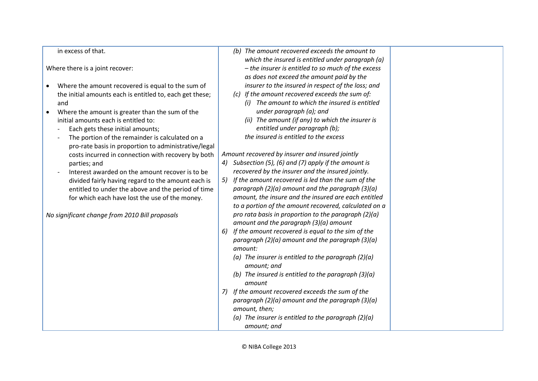| in excess of that.                                             | (b) The amount recovered exceeds the amount to           |
|----------------------------------------------------------------|----------------------------------------------------------|
|                                                                | which the insured is entitled under paragraph (a)        |
| Where there is a joint recover:                                | - the insurer is entitled to so much of the excess       |
|                                                                | as does not exceed the amount paid by the                |
| Where the amount recovered is equal to the sum of<br>$\bullet$ | insurer to the insured in respect of the loss; and       |
| the initial amounts each is entitled to, each get these;       | (c) If the amount recovered exceeds the sum of:          |
| and                                                            | (i) The amount to which the insured is entitled          |
| Where the amount is greater than the sum of the                | under paragraph (a); and                                 |
| initial amounts each is entitled to:                           | (ii) The amount (if any) to which the insurer is         |
| Each gets these initial amounts;                               | entitled under paragraph (b);                            |
| The portion of the remainder is calculated on a                | the insured is entitled to the excess                    |
| pro-rate basis in proportion to administrative/legal           |                                                          |
| costs incurred in connection with recovery by both             | Amount recovered by insurer and insured jointly          |
| parties; and                                                   | 4) Subsection (5), (6) and (7) apply if the amount is    |
| Interest awarded on the amount recover is to be                | recovered by the insurer and the insured jointly.        |
| divided fairly having regard to the amount each is             | If the amount recovered is led than the sum of the<br>5) |
| entitled to under the above and the period of time             | paragraph (2)(a) amount and the paragraph (3)(a)         |
| for which each have lost the use of the money.                 | amount, the insure and the insured are each entitled     |
|                                                                | to a portion of the amount recovered, calculated on a    |
| No significant change from 2010 Bill proposals                 | pro rata basis in proportion to the paragraph $(2)(a)$   |
|                                                                | amount and the paragraph (3)(a) amount                   |
|                                                                | If the amount recovered is equal to the sim of the<br>6) |
|                                                                | paragraph (2)(a) amount and the paragraph (3)(a)         |
|                                                                | amount:                                                  |
|                                                                | (a) The insurer is entitled to the paragraph $(2)(a)$    |
|                                                                | amount; and                                              |
|                                                                | (b) The insured is entitled to the paragraph $(3)(a)$    |
|                                                                | amount                                                   |
|                                                                | If the amount recovered exceeds the sum of the<br>7)     |
|                                                                | paragraph (2)(a) amount and the paragraph (3)(a)         |
|                                                                | amount, then;                                            |
|                                                                | (a) The insurer is entitled to the paragraph $(2)(a)$    |
|                                                                | amount; and                                              |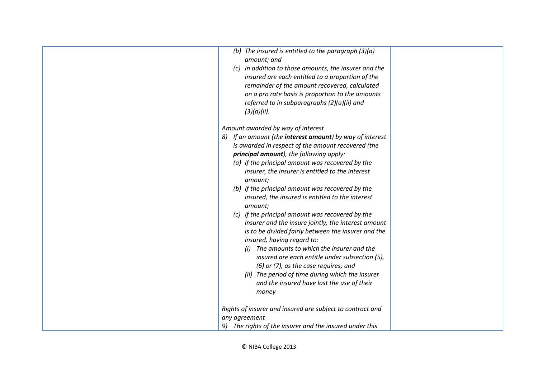| (b) The insured is entitled to the paragraph $(3)(a)$               |  |
|---------------------------------------------------------------------|--|
| amount; and                                                         |  |
| (c) In addition to those amounts, the insurer and the               |  |
| insured are each entitled to a proportion of the                    |  |
| remainder of the amount recovered, calculated                       |  |
| on a pro rate basis is proportion to the amounts                    |  |
| referred to in subparagraphs (2)(a)(ii) and                         |  |
| (3)(a)(ii).                                                         |  |
|                                                                     |  |
| Amount awarded by way of interest                                   |  |
| If an amount (the <b>interest amount</b> ) by way of interest<br>8) |  |
| is awarded in respect of the amount recovered (the                  |  |
| principal amount), the following apply:                             |  |
| (a) If the principal amount was recovered by the                    |  |
| insurer, the insurer is entitled to the interest                    |  |
| amount;                                                             |  |
| (b) If the principal amount was recovered by the                    |  |
| insured, the insured is entitled to the interest                    |  |
| amount;                                                             |  |
| (c) If the principal amount was recovered by the                    |  |
| insurer and the insure jointly, the interest amount                 |  |
| is to be divided fairly between the insurer and the                 |  |
| insured, having regard to:                                          |  |
| (i) The amounts to which the insurer and the                        |  |
|                                                                     |  |
| insured are each entitle under subsection (5),                      |  |
| (6) or (7), as the case requires; and                               |  |
| (ii) The period of time during which the insurer                    |  |
| and the insured have lost the use of their                          |  |
| money                                                               |  |
|                                                                     |  |
| Rights of insurer and insured are subject to contract and           |  |
| any agreement                                                       |  |
| 9) The rights of the insurer and the insured under this             |  |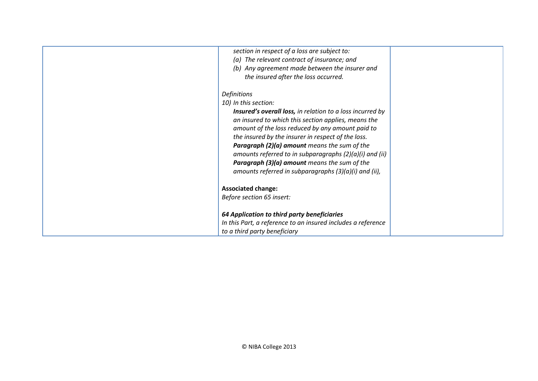| section in respect of a loss are subject to:<br>(a) The relevant contract of insurance; and<br>(b) Any agreement made between the insurer and<br>the insured after the loss occurred.<br><b>Definitions</b><br>10) In this section:<br><b>Insured's overall loss, in relation to a loss incurred by</b><br>an insured to which this section applies, means the<br>amount of the loss reduced by any amount paid to<br>the insured by the insurer in respect of the loss.<br>Paragraph (2)(a) amount means the sum of the |  |
|--------------------------------------------------------------------------------------------------------------------------------------------------------------------------------------------------------------------------------------------------------------------------------------------------------------------------------------------------------------------------------------------------------------------------------------------------------------------------------------------------------------------------|--|
| amounts referred to in subparagraphs (2)(a)(i) and (ii)<br><b>Paragraph (3)(a) amount</b> means the sum of the<br>amounts referred in subparagraphs (3)(a)(i) and (ii),                                                                                                                                                                                                                                                                                                                                                  |  |
| <b>Associated change:</b>                                                                                                                                                                                                                                                                                                                                                                                                                                                                                                |  |
| Before section 65 insert:                                                                                                                                                                                                                                                                                                                                                                                                                                                                                                |  |
| 64 Application to third party beneficiaries                                                                                                                                                                                                                                                                                                                                                                                                                                                                              |  |
| In this Part, a reference to an insured includes a reference                                                                                                                                                                                                                                                                                                                                                                                                                                                             |  |
| to a third party beneficiary                                                                                                                                                                                                                                                                                                                                                                                                                                                                                             |  |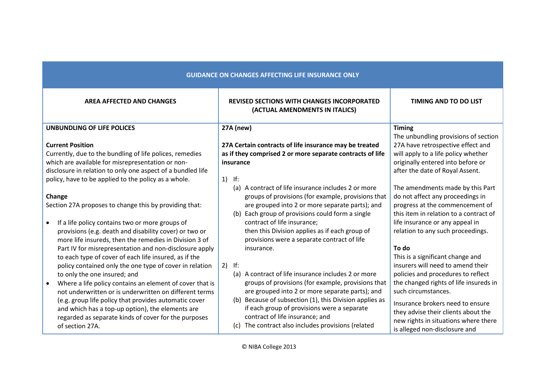| <b>GUIDANCE ON CHANGES AFFECTING LIFE INSURANCE ONLY</b>                                                                                                                                                                                                                                                                                                                                                                                                                                                                              |                                                                                                                                                                                                                                                                                                                                                                                           |                                                                                                                                                                                                                                                                                                                                           |
|---------------------------------------------------------------------------------------------------------------------------------------------------------------------------------------------------------------------------------------------------------------------------------------------------------------------------------------------------------------------------------------------------------------------------------------------------------------------------------------------------------------------------------------|-------------------------------------------------------------------------------------------------------------------------------------------------------------------------------------------------------------------------------------------------------------------------------------------------------------------------------------------------------------------------------------------|-------------------------------------------------------------------------------------------------------------------------------------------------------------------------------------------------------------------------------------------------------------------------------------------------------------------------------------------|
| <b>AREA AFFECTED AND CHANGES</b>                                                                                                                                                                                                                                                                                                                                                                                                                                                                                                      | <b>REVISED SECTIONS WITH CHANGES INCORPORATED</b><br>(ACTUAL AMENDMENTS IN ITALICS)                                                                                                                                                                                                                                                                                                       | <b>TIMING AND TO DO LIST</b>                                                                                                                                                                                                                                                                                                              |
| <b>UNBUNDLING OF LIFE POLICES</b>                                                                                                                                                                                                                                                                                                                                                                                                                                                                                                     | <b>27A</b> (new)                                                                                                                                                                                                                                                                                                                                                                          | <b>Timing</b>                                                                                                                                                                                                                                                                                                                             |
| <b>Current Position</b><br>Currently, due to the bundling of life polices, remedies<br>which are available for misrepresentation or non-<br>disclosure in relation to only one aspect of a bundled life<br>policy, have to be applied to the policy as a whole.                                                                                                                                                                                                                                                                       | 27A Certain contracts of life insurance may be treated<br>as if they comprised 2 or more separate contracts of life<br>insurance<br>$ $ If:<br>1)                                                                                                                                                                                                                                         | The unbundling provisions of section<br>27A have retrospective effect and<br>will apply to a life policy whether<br>originally entered into before or<br>after the date of Royal Assent.                                                                                                                                                  |
| Change<br>Section 27A proposes to change this by providing that:<br>If a life policy contains two or more groups of<br>$\bullet$<br>provisions (e.g. death and disability cover) or two or<br>more life insureds, then the remedies in Division 3 of                                                                                                                                                                                                                                                                                  | (a) A contract of life insurance includes 2 or more<br>groups of provisions (for example, provisions that<br>are grouped into 2 or more separate parts); and<br>(b) Each group of provisions could form a single<br>contract of life insurance;<br>then this Division applies as if each group of<br>provisions were a separate contract of life                                          | The amendments made by this Part<br>do not affect any proceedings in<br>progress at the commencement of<br>this item in relation to a contract of<br>life insurance or any appeal in<br>relation to any such proceedings.                                                                                                                 |
| Part IV for misrepresentation and non-disclosure apply<br>to each type of cover of each life insured, as if the<br>policy contained only the one type of cover in relation<br>to only the one insured; and<br>Where a life policy contains an element of cover that is<br>$\bullet$<br>not underwritten or is underwritten on different terms<br>(e.g. group life policy that provides automatic cover<br>and which has a top-up option), the elements are<br>regarded as separate kinds of cover for the purposes<br>of section 27A. | insurance.<br>$2)$ If:<br>(a) A contract of life insurance includes 2 or more<br>groups of provisions (for example, provisions that<br>are grouped into 2 or more separate parts); and<br>(b) Because of subsection (1), this Division applies as<br>if each group of provisions were a separate<br>contract of life insurance; and<br>(c) The contract also includes provisions (related | To do<br>This is a significant change and<br>insurers will need to amend their<br>policies and procedures to reflect<br>the changed rights of life insureds in<br>such circumstances.<br>Insurance brokers need to ensure<br>they advise their clients about the<br>new rights in situations where there<br>is alleged non-disclosure and |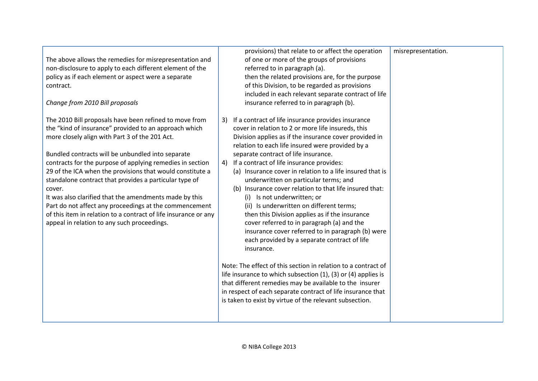| The above allows the remedies for misrepresentation and<br>non-disclosure to apply to each different element of the<br>policy as if each element or aspect were a separate<br>contract.<br>Change from 2010 Bill proposals                                                                                                                                                                                                                                                                                                                                                                                                                                 | provisions) that relate to or affect the operation<br>of one or more of the groups of provisions<br>referred to in paragraph (a).<br>then the related provisions are, for the purpose<br>of this Division, to be regarded as provisions<br>included in each relevant separate contract of life<br>insurance referred to in paragraph (b).                                                                                                                                                                                                                                                                                                                                                                                                                                                                                                                                                                                                                                                                                                                                                                     | misrepresentation. |
|------------------------------------------------------------------------------------------------------------------------------------------------------------------------------------------------------------------------------------------------------------------------------------------------------------------------------------------------------------------------------------------------------------------------------------------------------------------------------------------------------------------------------------------------------------------------------------------------------------------------------------------------------------|---------------------------------------------------------------------------------------------------------------------------------------------------------------------------------------------------------------------------------------------------------------------------------------------------------------------------------------------------------------------------------------------------------------------------------------------------------------------------------------------------------------------------------------------------------------------------------------------------------------------------------------------------------------------------------------------------------------------------------------------------------------------------------------------------------------------------------------------------------------------------------------------------------------------------------------------------------------------------------------------------------------------------------------------------------------------------------------------------------------|--------------------|
| The 2010 Bill proposals have been refined to move from<br>the "kind of insurance" provided to an approach which<br>more closely align with Part 3 of the 201 Act.<br>Bundled contracts will be unbundled into separate<br>contracts for the purpose of applying remedies in section<br>29 of the ICA when the provisions that would constitute a<br>standalone contract that provides a particular type of<br>cover.<br>It was also clarified that the amendments made by this<br>Part do not affect any proceedings at the commencement<br>of this item in relation to a contract of life insurance or any<br>appeal in relation to any such proceedings. | If a contract of life insurance provides insurance<br>3)<br>cover in relation to 2 or more life insureds, this<br>Division applies as if the insurance cover provided in<br>relation to each life insured were provided by a<br>separate contract of life insurance.<br>If a contract of life insurance provides:<br>4)<br>(a) Insurance cover in relation to a life insured that is<br>underwritten on particular terms; and<br>(b) Insurance cover relation to that life insured that:<br>(i) Is not underwritten; or<br>(ii) Is underwritten on different terms;<br>then this Division applies as if the insurance<br>cover referred to in paragraph (a) and the<br>insurance cover referred to in paragraph (b) were<br>each provided by a separate contract of life<br>insurance.<br>Note: The effect of this section in relation to a contract of<br>life insurance to which subsection (1), (3) or (4) applies is<br>that different remedies may be available to the insurer<br>in respect of each separate contract of life insurance that<br>is taken to exist by virtue of the relevant subsection. |                    |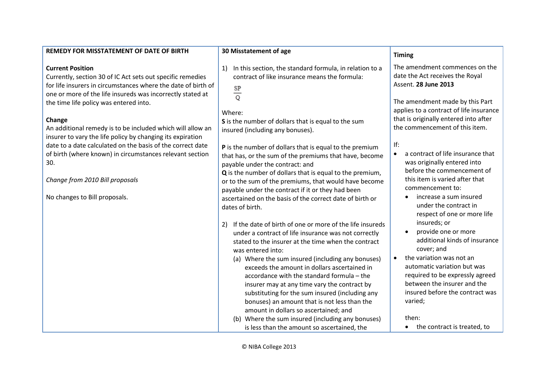| REMEDY FOR MISSTATEMENT OF DATE OF BIRTH                                                                                                                                                                                                                                                                                                                                                                                                                                                                                                                                                                  | 30 Misstatement of age                                                                                                                                                                                                                                                                                                                                                                                                                                                                                                                                                                                                                                                                                                                                                                                                                                                                                                                                          | <b>Timing</b>                                                                                                                                                                                                                                                                                                                                                                                                                                                                                                                                                                                                                                                                  |
|-----------------------------------------------------------------------------------------------------------------------------------------------------------------------------------------------------------------------------------------------------------------------------------------------------------------------------------------------------------------------------------------------------------------------------------------------------------------------------------------------------------------------------------------------------------------------------------------------------------|-----------------------------------------------------------------------------------------------------------------------------------------------------------------------------------------------------------------------------------------------------------------------------------------------------------------------------------------------------------------------------------------------------------------------------------------------------------------------------------------------------------------------------------------------------------------------------------------------------------------------------------------------------------------------------------------------------------------------------------------------------------------------------------------------------------------------------------------------------------------------------------------------------------------------------------------------------------------|--------------------------------------------------------------------------------------------------------------------------------------------------------------------------------------------------------------------------------------------------------------------------------------------------------------------------------------------------------------------------------------------------------------------------------------------------------------------------------------------------------------------------------------------------------------------------------------------------------------------------------------------------------------------------------|
| <b>Current Position</b><br>Currently, section 30 of IC Act sets out specific remedies<br>for life insurers in circumstances where the date of birth of<br>one or more of the life insureds was incorrectly stated at<br>the time life policy was entered into.<br>Change<br>An additional remedy is to be included which will allow an<br>insurer to vary the life policy by changing its expiration<br>date to a date calculated on the basis of the correct date<br>of birth (where known) in circumstances relevant section<br>30.<br>Change from 2010 Bill proposals<br>No changes to Bill proposals. | In this section, the standard formula, in relation to a<br>1)<br>contract of like insurance means the formula:<br>$rac{SP}{Q}$<br>Where:<br>S is the number of dollars that is equal to the sum<br>insured (including any bonuses).<br>P is the number of dollars that is equal to the premium<br>that has, or the sum of the premiums that have, become<br>payable under the contract: and<br>Q is the number of dollars that is equal to the premium,<br>or to the sum of the premiums, that would have become<br>payable under the contract if it or they had been<br>ascertained on the basis of the correct date of birth or<br>dates of birth.<br>If the date of birth of one or more of the life insureds<br>2)<br>under a contract of life insurance was not correctly<br>stated to the insurer at the time when the contract<br>was entered into:<br>(a) Where the sum insured (including any bonuses)<br>exceeds the amount in dollars ascertained in | The amendment commences on the<br>date the Act receives the Royal<br>Assent. 28 June 2013<br>The amendment made by this Part<br>applies to a contract of life insurance<br>that is originally entered into after<br>the commencement of this item.<br>If:<br>a contract of life insurance that<br>$\bullet$<br>was originally entered into<br>before the commencement of<br>this item is varied after that<br>commencement to:<br>increase a sum insured<br>under the contract in<br>respect of one or more life<br>insureds; or<br>provide one or more<br>$\bullet$<br>additional kinds of insurance<br>cover; and<br>the variation was not an<br>automatic variation but was |
|                                                                                                                                                                                                                                                                                                                                                                                                                                                                                                                                                                                                           | accordance with the standard formula - the<br>insurer may at any time vary the contract by<br>substituting for the sum insured (including any<br>bonuses) an amount that is not less than the                                                                                                                                                                                                                                                                                                                                                                                                                                                                                                                                                                                                                                                                                                                                                                   | required to be expressly agreed<br>between the insurer and the<br>insured before the contract was<br>varied;                                                                                                                                                                                                                                                                                                                                                                                                                                                                                                                                                                   |
|                                                                                                                                                                                                                                                                                                                                                                                                                                                                                                                                                                                                           | amount in dollars so ascertained; and<br>(b) Where the sum insured (including any bonuses)<br>is less than the amount so ascertained, the                                                                                                                                                                                                                                                                                                                                                                                                                                                                                                                                                                                                                                                                                                                                                                                                                       | then:<br>the contract is treated, to<br>$\bullet$                                                                                                                                                                                                                                                                                                                                                                                                                                                                                                                                                                                                                              |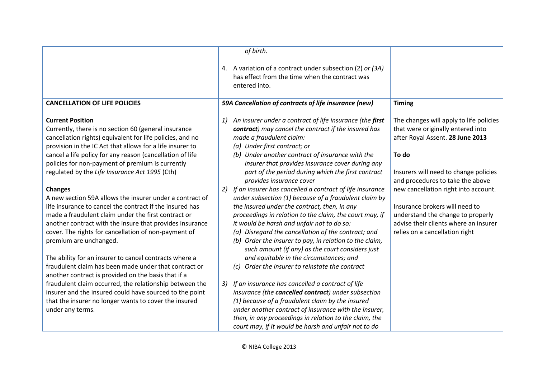|                                                                                                                                                                                                                                                                                                                                                                                                                                                                                                     | of birth.                                                                                                                                                                                                                                                                                                                                                                                                                                                                             |                                                                                                                                                                                                                                                |
|-----------------------------------------------------------------------------------------------------------------------------------------------------------------------------------------------------------------------------------------------------------------------------------------------------------------------------------------------------------------------------------------------------------------------------------------------------------------------------------------------------|---------------------------------------------------------------------------------------------------------------------------------------------------------------------------------------------------------------------------------------------------------------------------------------------------------------------------------------------------------------------------------------------------------------------------------------------------------------------------------------|------------------------------------------------------------------------------------------------------------------------------------------------------------------------------------------------------------------------------------------------|
|                                                                                                                                                                                                                                                                                                                                                                                                                                                                                                     | 4. A variation of a contract under subsection (2) or (3A)<br>has effect from the time when the contract was<br>entered into.                                                                                                                                                                                                                                                                                                                                                          |                                                                                                                                                                                                                                                |
| <b>CANCELLATION OF LIFE POLICIES</b>                                                                                                                                                                                                                                                                                                                                                                                                                                                                | 59A Cancellation of contracts of life insurance (new)                                                                                                                                                                                                                                                                                                                                                                                                                                 | <b>Timing</b>                                                                                                                                                                                                                                  |
| <b>Current Position</b><br>Currently, there is no section 60 (general insurance<br>cancellation rights) equivalent for life policies, and no<br>provision in the IC Act that allows for a life insurer to<br>cancel a life policy for any reason (cancellation of life<br>policies for non-payment of premium is currently<br>regulated by the Life Insurance Act 1995 (Cth)<br><b>Changes</b>                                                                                                      | An insurer under a contract of life insurance (the first<br>1)<br>contract) may cancel the contract if the insured has<br>made a fraudulent claim:<br>(a) Under first contract; or<br>(b) Under another contract of insurance with the<br>insurer that provides insurance cover during any<br>part of the period during which the first contract<br>provides insurance cover<br>If an insurer has cancelled a contract of life insurance<br>2)                                        | The changes will apply to life policies<br>that were originally entered into<br>after Royal Assent. 28 June 2013<br>To do<br>Insurers will need to change policies<br>and procedures to take the above<br>new cancellation right into account. |
| A new section 59A allows the insurer under a contract of<br>life insurance to cancel the contract if the insured has<br>made a fraudulent claim under the first contract or<br>another contract with the insure that provides insurance<br>cover. The rights for cancellation of non-payment of<br>premium are unchanged.<br>The ability for an insurer to cancel contracts where a<br>fraudulent claim has been made under that contract or<br>another contract is provided on the basis that if a | under subsection (1) because of a fraudulent claim by<br>the insured under the contract, then, in any<br>proceedings in relation to the claim, the court may, if<br>it would be harsh and unfair not to do so:<br>(a) Disregard the cancellation of the contract; and<br>(b) Order the insurer to pay, in relation to the claim,<br>such amount (if any) as the court considers just<br>and equitable in the circumstances; and<br>Order the insurer to reinstate the contract<br>(c) | Insurance brokers will need to<br>understand the change to properly<br>advise their clients where an insurer<br>relies on a cancellation right                                                                                                 |
| fraudulent claim occurred, the relationship between the<br>insurer and the insured could have sourced to the point<br>that the insurer no longer wants to cover the insured<br>under any terms.                                                                                                                                                                                                                                                                                                     | If an insurance has cancelled a contract of life<br>3)<br>insurance (the cancelled contract) under subsection<br>(1) because of a fraudulent claim by the insured<br>under another contract of insurance with the insurer,<br>then, in any proceedings in relation to the claim, the<br>court may, if it would be harsh and unfair not to do                                                                                                                                          |                                                                                                                                                                                                                                                |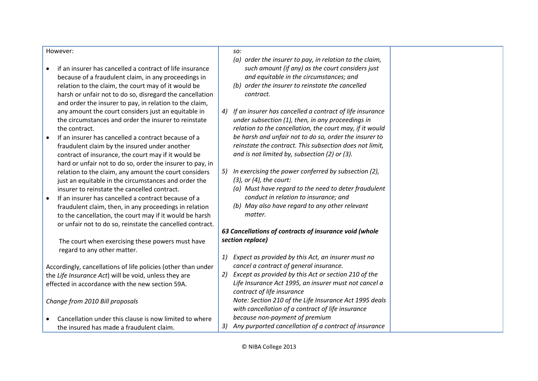#### However:

- if an insurer has cancelled a contract of life insurance because of a fraudulent claim, in any proceedings in relation to the claim, the court may of it would be harsh or unfair not to do so, disregard the cancellation and order the insurer to pay, in relation to the claim, any amount the court considers just an equitable in the circumstances and order the insurer to reinstate the contract.
- If an insurer has cancelled a contract because of a fraudulent claim by the insured under another contract of insurance, the court may if it would be hard or unfair not to do so, order the insurer to pay, in relation to the claim, any amount the court considers just an equitable in the circumstances and order the insurer to reinstate the cancelled contract.
- If an insurer has cancelled a contract because of a fraudulent claim, then, in any proceedings in relation to the cancellation, the court may if it would be harsh or unfair not to do so, reinstate the cancelled contract.

The court when exercising these powers must have regard to any other matter.

Accordingly, cancellations of life policies (other than under the *Life Insurance Act*) will be void, unless they are effected in accordance with the new section 59A.

*Change from 2010 Bill proposals*

 Cancellation under this clause is now limited to where the insured has made a fraudulent claim.

#### *so:*

- *(a) order the insurer to pay, in relation to the claim, such amount (if any) as the court considers just and equitable in the circumstances; and*
- *(b) order the insurer to reinstate the cancelled contract.*
- *4) If an insurer has cancelled a contract of life insurance under subsection (1), then, in any proceedings in relation to the cancellation, the court may, if it would be harsh and unfair not to do so, order the insurer to reinstate the contract. This subsection does not limit, and is not limited by, subsection (2) or (3).*
- *5) In exercising the power conferred by subsection (2), (3), or (4), the court:*
	- *(a) Must have regard to the need to deter fraudulent conduct in relation to insurance; and*
	- *(b) May also have regard to any other relevant matter.*

#### *63 Cancellations of contracts of insurance void (whole section replace)*

- *1) Expect as provided by this Act, an insurer must no cancel a contract of general insurance.*
- *2) Except as provided by this Act or section 210 of the Life Insurance Act 1995, an insurer must not cancel a contract of life insurance Note: Section 210 of the Life Insurance Act 1995 deals with cancellation of a contract of life insurance because non-payment of premium*
- *3) Any purported cancellation of a contract of insurance*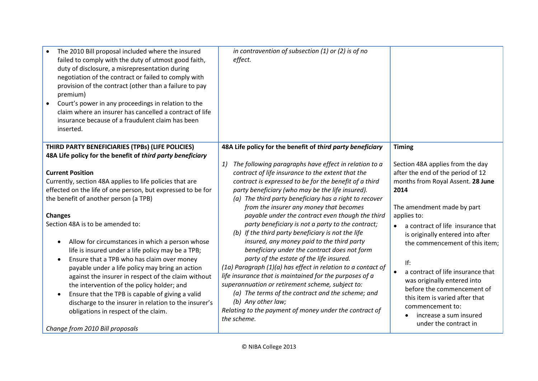| The 2010 Bill proposal included where the insured<br>failed to comply with the duty of utmost good faith,<br>duty of disclosure, a misrepresentation during<br>negotiation of the contract or failed to comply with<br>provision of the contract (other than a failure to pay<br>premium)<br>Court's power in any proceedings in relation to the<br>$\bullet$<br>claim where an insurer has cancelled a contract of life<br>insurance because of a fraudulent claim has been<br>inserted.                                                                                                                                                                                                                                                                                                      | in contravention of subsection $(1)$ or $(2)$ is of no<br>effect.                                                                                                                                                                                                                                                                                                                                                                                                                                                                                                                                                                                                                                                                                                                                                                                                                                                                                                               |                                                                                                                                                                                                                                                                                                                                                                                                                                                                                              |
|------------------------------------------------------------------------------------------------------------------------------------------------------------------------------------------------------------------------------------------------------------------------------------------------------------------------------------------------------------------------------------------------------------------------------------------------------------------------------------------------------------------------------------------------------------------------------------------------------------------------------------------------------------------------------------------------------------------------------------------------------------------------------------------------|---------------------------------------------------------------------------------------------------------------------------------------------------------------------------------------------------------------------------------------------------------------------------------------------------------------------------------------------------------------------------------------------------------------------------------------------------------------------------------------------------------------------------------------------------------------------------------------------------------------------------------------------------------------------------------------------------------------------------------------------------------------------------------------------------------------------------------------------------------------------------------------------------------------------------------------------------------------------------------|----------------------------------------------------------------------------------------------------------------------------------------------------------------------------------------------------------------------------------------------------------------------------------------------------------------------------------------------------------------------------------------------------------------------------------------------------------------------------------------------|
| THIRD PARTY BENEFICIARIES (TPBs) (LIFE POLICIES)                                                                                                                                                                                                                                                                                                                                                                                                                                                                                                                                                                                                                                                                                                                                               | 48A Life policy for the benefit of third party beneficiary                                                                                                                                                                                                                                                                                                                                                                                                                                                                                                                                                                                                                                                                                                                                                                                                                                                                                                                      | <b>Timing</b>                                                                                                                                                                                                                                                                                                                                                                                                                                                                                |
| 48A Life policy for the benefit of third party beneficiary                                                                                                                                                                                                                                                                                                                                                                                                                                                                                                                                                                                                                                                                                                                                     |                                                                                                                                                                                                                                                                                                                                                                                                                                                                                                                                                                                                                                                                                                                                                                                                                                                                                                                                                                                 |                                                                                                                                                                                                                                                                                                                                                                                                                                                                                              |
| <b>Current Position</b><br>Currently, section 48A applies to life policies that are<br>effected on the life of one person, but expressed to be for<br>the benefit of another person (a TPB)<br><b>Changes</b><br>Section 48A is to be amended to:<br>Allow for circumstances in which a person whose<br>$\bullet$<br>life is insured under a life policy may be a TPB;<br>Ensure that a TPB who has claim over money<br>$\bullet$<br>payable under a life policy may bring an action<br>against the insurer in respect of the claim without<br>the intervention of the policy holder; and<br>Ensure that the TPB is capable of giving a valid<br>$\bullet$<br>discharge to the insurer in relation to the insurer's<br>obligations in respect of the claim.<br>Change from 2010 Bill proposals | The following paragraphs have effect in relation to a<br>1)<br>contract of life insurance to the extent that the<br>contract is expressed to be for the benefit of a third<br>party beneficiary (who may be the life insured).<br>(a) The third party beneficiary has a right to recover<br>from the insurer any money that becomes<br>payable under the contract even though the third<br>party beneficiary is not a party to the contract;<br>(b) If the third party beneficiary is not the life<br>insured, any money paid to the third party<br>beneficiary under the contract does not form<br>party of the estate of the life insured.<br>(1a) Paragraph (1)(a) has effect in relation to a contact of<br>life insurance that is maintained for the purposes of a<br>superannuation or retirement scheme, subject to:<br>(a) The terms of the contract and the scheme; and<br>(b) Any other law;<br>Relating to the payment of money under the contract of<br>the scheme. | Section 48A applies from the day<br>after the end of the period of 12<br>months from Royal Assent. 28 June<br>2014<br>The amendment made by part<br>applies to:<br>a contract of life insurance that<br>is originally entered into after<br>the commencement of this item;<br>If:<br>a contract of life insurance that<br>was originally entered into<br>before the commencement of<br>this item is varied after that<br>commencement to:<br>increase a sum insured<br>under the contract in |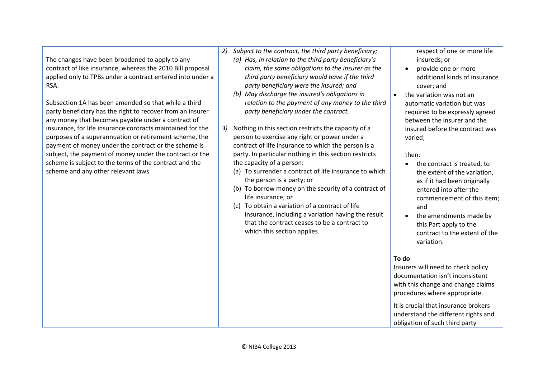The changes have been broadened to apply to any contract of like insurance, whereas the 2010 Bill proposal applied only to TPBs under a contract entered into under a RSA.

Subsection 1A has been amended so that while a third party beneficiary has the right to recover from an insurer any money that becomes payable under a contract of insurance, for life insurance contracts maintained for the purposes of a superannuation or retirement scheme, the payment of money under the contract or the scheme is subject, the payment of money under the contract or the scheme is subject to the terms of the contract and the scheme and any other relevant laws.

- *2) Subject to the contract, the third party beneficiary;*
	- *(a) Has, in relation to the third party beneficiary's claim, the same obligations to the insurer as the third party beneficiary would have if the third party beneficiary were the insured; and*
	- *(b) May discharge the insured's obligations in relation to the payment of any money to the third party beneficiary under the contract.*
- *3)* Nothing in this section restricts the capacity of a person to exercise any right or power under a contract of life insurance to which the person is a party. In particular nothing in this section restricts the capacity of a person:
	- (a) To surrender a contract of life insurance to which the person is a party; or
	- (b) To borrow money on the security of a contract of life insurance; or
	- (c) To obtain a variation of a contract of life insurance, including a variation having the result that the contract ceases to be a contract to which this section applies.

respect of one or more life insureds; or

- provide one or more additional kinds of insurance cover; and
- the variation was not an automatic variation but was required to be expressly agreed between the insurer and the insured before the contract was varied;

#### then:

- the contract is treated, to the extent of the variation, as if it had been originally entered into after the commencement of this item; and
- the amendments made by this Part apply to the contract to the extent of the variation.

#### **To do**

Insurers will need to check policy documentation isn't inconsistent with this change and change claims procedures where appropriate.

It is crucial that insurance brokers understand the different rights and obligation of such third party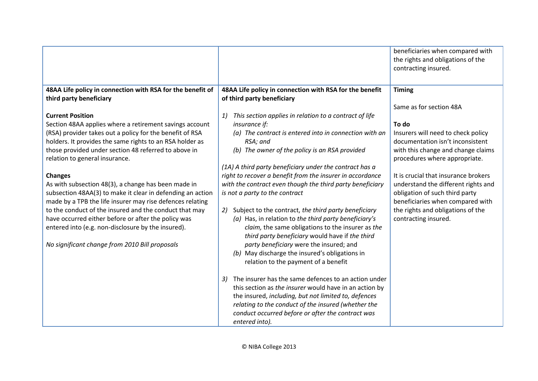|                                                                                                                     |                                                                                                      | beneficiaries when compared with<br>the rights and obligations of the<br>contracting insured. |
|---------------------------------------------------------------------------------------------------------------------|------------------------------------------------------------------------------------------------------|-----------------------------------------------------------------------------------------------|
| 48AA Life policy in connection with RSA for the benefit of                                                          | 48AA Life policy in connection with RSA for the benefit                                              | <b>Timing</b>                                                                                 |
| third party beneficiary                                                                                             | of third party beneficiary                                                                           |                                                                                               |
|                                                                                                                     |                                                                                                      | Same as for section 48A                                                                       |
| <b>Current Position</b><br>Section 48AA applies where a retirement savings account                                  | This section applies in relation to a contract of life<br>1)<br>insurance if:                        | To do                                                                                         |
| (RSA) provider takes out a policy for the benefit of RSA                                                            | (a) The contract is entered into in connection with an                                               | Insurers will need to check policy                                                            |
| holders. It provides the same rights to an RSA holder as                                                            | RSA; and                                                                                             | documentation isn't inconsistent                                                              |
| those provided under section 48 referred to above in<br>relation to general insurance.                              | (b) The owner of the policy is an RSA provided                                                       | with this change and change claims<br>procedures where appropriate.                           |
|                                                                                                                     | (1A) A third party beneficiary under the contract has a                                              |                                                                                               |
| <b>Changes</b>                                                                                                      | right to recover a benefit from the insurer in accordance                                            | It is crucial that insurance brokers                                                          |
| As with subsection 48(3), a change has been made in                                                                 | with the contract even though the third party beneficiary                                            | understand the different rights and                                                           |
| subsection 48AA(3) to make it clear in defending an action                                                          | is not a party to the contract                                                                       | obligation of such third party                                                                |
| made by a TPB the life insurer may rise defences relating<br>to the conduct of the insured and the conduct that may | Subject to the contract, the third party beneficiary<br>2)                                           | beneficiaries when compared with<br>the rights and obligations of the                         |
| have occurred either before or after the policy was                                                                 | (a) Has, in relation to the third party beneficiary's                                                | contracting insured.                                                                          |
| entered into (e.g. non-disclosure by the insured).                                                                  | claim, the same obligations to the insurer as the<br>third party beneficiary would have if the third |                                                                                               |
| No significant change from 2010 Bill proposals                                                                      | party beneficiary were the insured; and                                                              |                                                                                               |
|                                                                                                                     | (b) May discharge the insured's obligations in                                                       |                                                                                               |
|                                                                                                                     | relation to the payment of a benefit                                                                 |                                                                                               |
|                                                                                                                     | The insurer has the same defences to an action under<br>3)                                           |                                                                                               |
|                                                                                                                     | this section as the insurer would have in an action by                                               |                                                                                               |
|                                                                                                                     | the insured, including, but not limited to, defences                                                 |                                                                                               |
|                                                                                                                     | relating to the conduct of the insured (whether the                                                  |                                                                                               |
|                                                                                                                     | conduct occurred before or after the contract was<br>entered into).                                  |                                                                                               |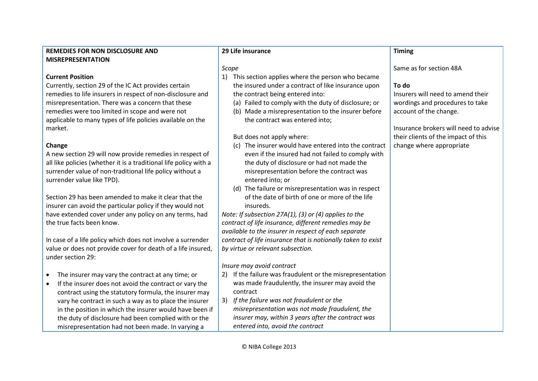| <b>REMEDIES FOR NON DISCLOSURE AND</b>                              | 29 Life insurance                                            | <b>Timing</b>                         |
|---------------------------------------------------------------------|--------------------------------------------------------------|---------------------------------------|
| <b>MISREPRESENTATION</b>                                            |                                                              |                                       |
|                                                                     | Scope                                                        | Same as for section 48A               |
| <b>Current Position</b>                                             | This section applies where the person who became<br>1)       |                                       |
| Currently, section 29 of the IC Act provides certain                | the insured under a contract of like insurance upon          | To do                                 |
| remedies to life insurers in respect of non-disclosure and          | the contract being entered into:                             | Insurers will need to amend their     |
| misrepresentation. There was a concern that these                   | (a) Failed to comply with the duty of disclosure; or         | wordings and procedures to take       |
| remedies were too limited in scope and were not                     | (b) Made a misrepresentation to the insurer before           | account of the change.                |
| applicable to many types of life policies available on the          | the contract was entered into;                               |                                       |
| market.                                                             |                                                              | Insurance brokers will need to advise |
|                                                                     | But does not apply where:                                    | their clients of the impact of this   |
| Change                                                              | (c) The insurer would have entered into the contract         | change where appropriate              |
| A new section 29 will now provide remedies in respect of            | even if the insured had not failed to comply with            |                                       |
| all like policies (whether it is a traditional life policy with a   | the duty of disclosure or had not made the                   |                                       |
| surrender value of non-traditional life policy without a            | misrepresentation before the contract was                    |                                       |
| surrender value like TPD).                                          | entered into; or                                             |                                       |
|                                                                     | (d) The failure or misrepresentation was in respect          |                                       |
| Section 29 has been amended to make it clear that the               | of the date of birth of one or more of the life              |                                       |
| insurer can avoid the particular policy if they would not           | insureds.                                                    |                                       |
| have extended cover under any policy on any terms, had              | Note: If subsection 27A(1), (3) or (4) applies to the        |                                       |
| the true facts been know.                                           | contract of life insurance, different remedies may be        |                                       |
|                                                                     | available to the insurer in respect of each separate         |                                       |
| In case of a life policy which does not involve a surrender         | contract of life insurance that is notionally taken to exist |                                       |
| value or does not provide cover for death of a life insured,        | by virtue or relevant subsection.                            |                                       |
| under section 29:                                                   |                                                              |                                       |
|                                                                     | Insure may avoid contract                                    |                                       |
| The insurer may vary the contract at any time; or<br>$\bullet$      | If the failure was fraudulent or the misrepresentation<br>2) |                                       |
| If the insurer does not avoid the contract or vary the<br>$\bullet$ | was made fraudulently, the insurer may avoid the             |                                       |
| contract using the statutory formula, the insurer may               | contract                                                     |                                       |
| vary he contract in such a way as to place the insurer              | If the failure was not fraudulent or the<br>3)               |                                       |
| in the position in which the insurer would have been if             | misrepresentation was not made fraudulent, the               |                                       |
| the duty of disclosure had been complied with or the                | insurer may, within 3 years after the contract was           |                                       |
| misrepresentation had not been made. In varying a                   | entered into, avoid the contract                             |                                       |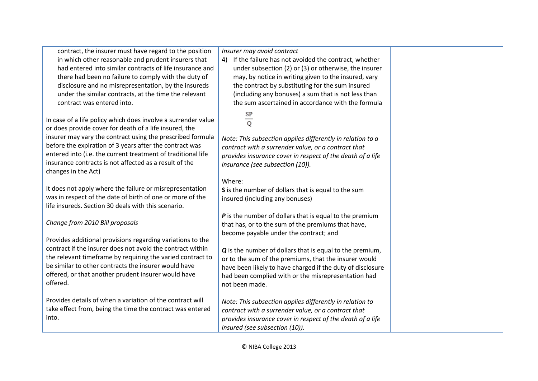| contract, the insurer must have regard to the position<br>in which other reasonable and prudent insurers that<br>had entered into similar contracts of life insurance and<br>there had been no failure to comply with the duty of<br>disclosure and no misrepresentation, by the insureds<br>under the similar contracts, at the time the relevant<br>contract was entered into.                  | Insurer may avoid contract<br>4) If the failure has not avoided the contract, whether<br>under subsection (2) or (3) or otherwise, the insurer<br>may, by notice in writing given to the insured, vary<br>the contract by substituting for the sum insured<br>(including any bonuses) a sum that is not less than<br>the sum ascertained in accordance with the formula                                             |  |
|---------------------------------------------------------------------------------------------------------------------------------------------------------------------------------------------------------------------------------------------------------------------------------------------------------------------------------------------------------------------------------------------------|---------------------------------------------------------------------------------------------------------------------------------------------------------------------------------------------------------------------------------------------------------------------------------------------------------------------------------------------------------------------------------------------------------------------|--|
| In case of a life policy which does involve a surrender value<br>or does provide cover for death of a life insured, the<br>insurer may vary the contract using the prescribed formula<br>before the expiration of 3 years after the contract was<br>entered into (i.e. the current treatment of traditional life<br>insurance contracts is not affected as a result of the<br>changes in the Act) | $rac{\text{SP}}{\text{Q}}$<br>Note: This subsection applies differently in relation to a<br>contract with a surrender value, or a contract that<br>provides insurance cover in respect of the death of a life<br>insurance (see subsection (10)).                                                                                                                                                                   |  |
| It does not apply where the failure or misrepresentation<br>was in respect of the date of birth of one or more of the<br>life insureds. Section 30 deals with this scenario.                                                                                                                                                                                                                      | Where:<br>S is the number of dollars that is equal to the sum<br>insured (including any bonuses)                                                                                                                                                                                                                                                                                                                    |  |
| Change from 2010 Bill proposals<br>Provides additional provisions regarding variations to the<br>contract if the insurer does not avoid the contract within<br>the relevant timeframe by requiring the varied contract to<br>be similar to other contracts the insurer would have<br>offered, or that another prudent insurer would have<br>offered.                                              | P is the number of dollars that is equal to the premium<br>that has, or to the sum of the premiums that have,<br>become payable under the contract; and<br>Q is the number of dollars that is equal to the premium,<br>or to the sum of the premiums, that the insurer would<br>have been likely to have charged if the duty of disclosure<br>had been complied with or the misrepresentation had<br>not been made. |  |
| Provides details of when a variation of the contract will<br>take effect from, being the time the contract was entered<br>into.                                                                                                                                                                                                                                                                   | Note: This subsection applies differently in relation to<br>contract with a surrender value, or a contract that<br>provides insurance cover in respect of the death of a life<br>insured (see subsection (10)).                                                                                                                                                                                                     |  |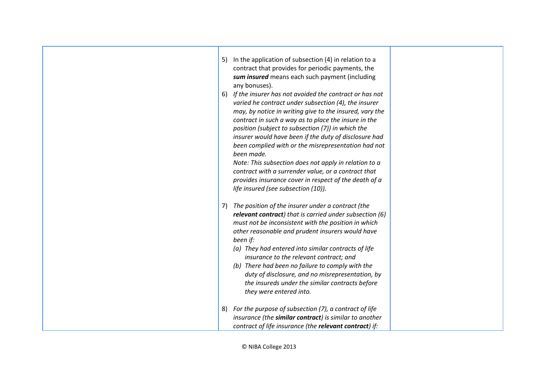| In the application of subsection (4) in relation to a<br>5)<br>contract that provides for periodic payments, the<br>sum insured means each such payment (including<br>any bonuses).<br>If the insurer has not avoided the contract or has not<br>6)<br>varied he contract under subsection (4), the insurer<br>may, by notice in writing give to the insured, vary the<br>contract in such a way as to place the insure in the<br>position (subject to subsection (7)) in which the<br>insurer would have been if the duty of disclosure had<br>been complied with or the misrepresentation had not<br>been made.<br>Note: This subsection does not apply in relation to a<br>contract with a surrender value, or a contract that<br>provides insurance cover in respect of the death of a<br>life insured (see subsection (10)). |
|-----------------------------------------------------------------------------------------------------------------------------------------------------------------------------------------------------------------------------------------------------------------------------------------------------------------------------------------------------------------------------------------------------------------------------------------------------------------------------------------------------------------------------------------------------------------------------------------------------------------------------------------------------------------------------------------------------------------------------------------------------------------------------------------------------------------------------------|
| The position of the insurer under a contract (the<br>7)<br>relevant contract) that is carried under subsection (6)<br>must not be inconsistent with the position in which<br>other reasonable and prudent insurers would have<br>been if:<br>(a) They had entered into similar contracts of life<br>insurance to the relevant contract; and<br>(b) There had been no failure to comply with the<br>duty of disclosure, and no misrepresentation, by<br>the insureds under the similar contracts before<br>they were entered into.                                                                                                                                                                                                                                                                                                 |
| For the purpose of subsection (7), a contract of life<br>8)<br>insurance (the similar contract) is similar to another<br>contract of life insurance (the relevant contract) if:                                                                                                                                                                                                                                                                                                                                                                                                                                                                                                                                                                                                                                                   |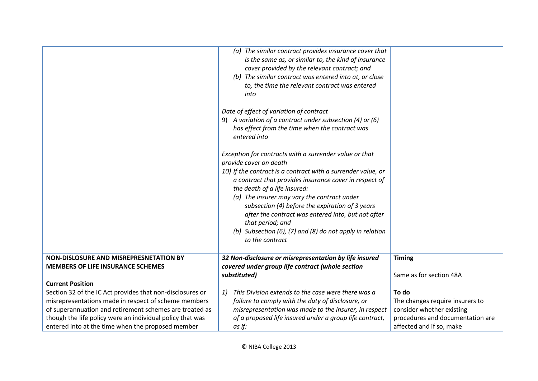|                                                           | (a) The similar contract provides insurance cover that       |                                  |
|-----------------------------------------------------------|--------------------------------------------------------------|----------------------------------|
|                                                           | is the same as, or similar to, the kind of insurance         |                                  |
|                                                           | cover provided by the relevant contract; and                 |                                  |
|                                                           | (b) The similar contract was entered into at, or close       |                                  |
|                                                           | to, the time the relevant contract was entered               |                                  |
|                                                           | into                                                         |                                  |
|                                                           | Date of effect of variation of contract                      |                                  |
|                                                           | 9) A variation of a contract under subsection (4) or (6)     |                                  |
|                                                           | has effect from the time when the contract was               |                                  |
|                                                           | entered into                                                 |                                  |
|                                                           |                                                              |                                  |
|                                                           | Exception for contracts with a surrender value or that       |                                  |
|                                                           | provide cover on death                                       |                                  |
|                                                           | 10) If the contract is a contract with a surrender value, or |                                  |
|                                                           | a contract that provides insurance cover in respect of       |                                  |
|                                                           | the death of a life insured:                                 |                                  |
|                                                           | (a) The insurer may vary the contract under                  |                                  |
|                                                           | subsection (4) before the expiration of 3 years              |                                  |
|                                                           | after the contract was entered into, but not after           |                                  |
|                                                           | that period; and                                             |                                  |
|                                                           | (b) Subsection (6), (7) and (8) do not apply in relation     |                                  |
|                                                           | to the contract                                              |                                  |
|                                                           |                                                              |                                  |
| NON-DISLOSURE AND MISREPRESNETATION BY                    | 32 Non-disclosure or misrepresentation by life insured       | <b>Timing</b>                    |
| <b>MEMBERS OF LIFE INSURANCE SCHEMES</b>                  | covered under group life contract (whole section             |                                  |
|                                                           | substituted)                                                 | Same as for section 48A          |
| <b>Current Position</b>                                   |                                                              |                                  |
| Section 32 of the IC Act provides that non-disclosures or | This Division extends to the case were there was a<br>1)     | To do                            |
| misrepresentations made in respect of scheme members      | failure to comply with the duty of disclosure, or            | The changes require insurers to  |
| of superannuation and retirement schemes are treated as   | misrepresentation was made to the insurer, in respect        | consider whether existing        |
| though the life policy were an individual policy that was | of a proposed life insured under a group life contract,      | procedures and documentation are |
| entered into at the time when the proposed member         | as if:                                                       | affected and if so, make         |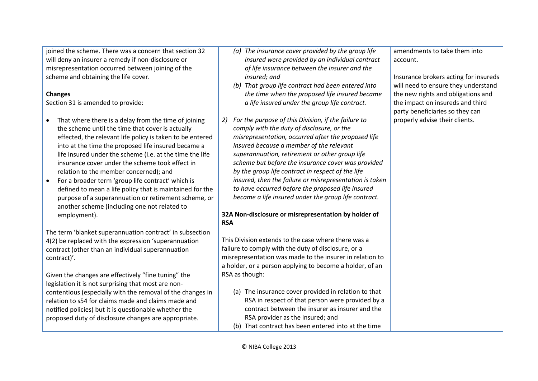joined the scheme. There was a concern that section 32 will deny an insurer a remedy if non-disclosure or misrepresentation occurred between joining of the scheme and obtaining the life cover.

#### **Changes**

Section 31 is amended to provide:

- That where there is a delay from the time of joining the scheme until the time that cover is actually effected, the relevant life policy is taken to be entered into at the time the proposed life insured became a life insured under the scheme (i.e. at the time the life insurance cover under the scheme took effect in relation to the member concerned); and
- For a broader term 'group life contract' which is defined to mean a life policy that is maintained for the purpose of a superannuation or retirement scheme, or another scheme (including one not related to employment).

The term 'blanket superannuation contract' in subsection 4(2) be replaced with the expression 'superannuation contract (other than an individual superannuation contract)'.

Given the changes are effectively "fine tuning" the legislation it is not surprising that most are noncontentious (especially with the removal of the changes in relation to s54 for claims made and claims made and notified policies) but it is questionable whether the proposed duty of disclosure changes are appropriate.

- *(a) The insurance cover provided by the group life insured were provided by an individual contract of life insurance between the insurer and the insured; and*
- *(b) That group life contract had been entered into the time when the proposed life insured became a life insured under the group life contract.*
- *2) For the purpose of this Division, if the failure to comply with the duty of disclosure, or the misrepresentation, occurred after the proposed life insured because a member of the relevant superannuation, retirement or other group life scheme but before the insurance cover was provided by the group life contract in respect of the life insured, then the failure or misrepresentation is taken to have occurred before the proposed life insured became a life insured under the group life contract.*

## **32A Non-disclosure or misrepresentation by holder of RSA**

This Division extends to the case where there was a failure to comply with the duty of disclosure, or a misrepresentation was made to the insurer in relation to a holder, or a person applying to become a holder, of an RSA as though:

(a) The insurance cover provided in relation to that RSA in respect of that person were provided by a contract between the insurer as insurer and the RSA provider as the insured; and (b) That contract has been entered into at the time

amendments to take them into account.

Insurance brokers acting for insureds will need to ensure they understand the new rights and obligations and the impact on insureds and third party beneficiaries so they can properly advise their clients.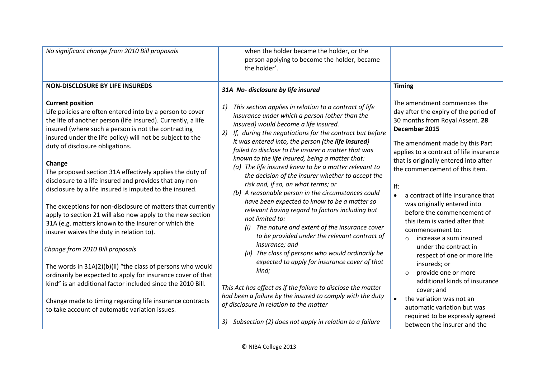| No significant change from 2010 Bill proposals                                                                                                                                                                                                                                                              | when the holder became the holder, or the<br>person applying to become the holder, became<br>the holder'.                                                                                                                                                                                                                                                                                                                                                                                                                                                                                                                                                                                                                                                                                                                |                                                                                                                                                                                                                                                                                          |                                                                                                                                                                                       |
|-------------------------------------------------------------------------------------------------------------------------------------------------------------------------------------------------------------------------------------------------------------------------------------------------------------|--------------------------------------------------------------------------------------------------------------------------------------------------------------------------------------------------------------------------------------------------------------------------------------------------------------------------------------------------------------------------------------------------------------------------------------------------------------------------------------------------------------------------------------------------------------------------------------------------------------------------------------------------------------------------------------------------------------------------------------------------------------------------------------------------------------------------|------------------------------------------------------------------------------------------------------------------------------------------------------------------------------------------------------------------------------------------------------------------------------------------|---------------------------------------------------------------------------------------------------------------------------------------------------------------------------------------|
| <b>NON-DISCLOSURE BY LIFE INSUREDS</b>                                                                                                                                                                                                                                                                      | 31A No- disclosure by life insured                                                                                                                                                                                                                                                                                                                                                                                                                                                                                                                                                                                                                                                                                                                                                                                       | <b>Timing</b>                                                                                                                                                                                                                                                                            |                                                                                                                                                                                       |
| <b>Current position</b><br>Life policies are often entered into by a person to cover<br>the life of another person (life insured). Currently, a life<br>insured (where such a person is not the contracting<br>insured under the life policy) will not be subject to the<br>duty of disclosure obligations. | This section applies in relation to a contract of life<br>1)<br>insurance under which a person (other than the<br>insured) would become a life insured.<br>If, during the negotiations for the contract but before<br>2)<br>it was entered into, the person (the life insured)<br>failed to disclose to the insurer a matter that was<br>known to the life insured, being a matter that:<br>(a) The life insured knew to be a matter relevant to<br>the decision of the insurer whether to accept the<br>risk and, if so, on what terms; or<br>(b) A reasonable person in the circumstances could<br>have been expected to know to be a matter so<br>relevant having regard to factors including but<br>not limited to:<br>The nature and extent of the insurance cover<br>to be provided under the relevant contract of | December 2015                                                                                                                                                                                                                                                                            | The amendment commences the<br>day after the expiry of the period of<br>30 months from Royal Assent. 28<br>The amendment made by this Part<br>applies to a contract of life insurance |
| Change<br>The proposed section 31A effectively applies the duty of<br>disclosure to a life insured and provides that any non-<br>disclosure by a life insured is imputed to the insured.                                                                                                                    |                                                                                                                                                                                                                                                                                                                                                                                                                                                                                                                                                                                                                                                                                                                                                                                                                          | that is originally entered into after<br>the commencement of this item.<br>If:<br>a contract of life insurance that<br>$\bullet$<br>was originally entered into<br>before the commencement of<br>this item is varied after that<br>commencement to:<br>increase a sum insured<br>$\circ$ |                                                                                                                                                                                       |
| The exceptions for non-disclosure of matters that currently<br>apply to section 21 will also now apply to the new section<br>31A (e.g. matters known to the insurer or which the<br>insurer waives the duty in relation to).                                                                                |                                                                                                                                                                                                                                                                                                                                                                                                                                                                                                                                                                                                                                                                                                                                                                                                                          |                                                                                                                                                                                                                                                                                          |                                                                                                                                                                                       |
| Change from 2010 Bill proposals                                                                                                                                                                                                                                                                             | insurance; and<br>The class of persons who would ordinarily be<br>(ii)                                                                                                                                                                                                                                                                                                                                                                                                                                                                                                                                                                                                                                                                                                                                                   | under the contract in<br>respect of one or more life                                                                                                                                                                                                                                     |                                                                                                                                                                                       |
| The words in 31A(2)(b)(ii) "the class of persons who would<br>ordinarily be expected to apply for insurance cover of that<br>kind" is an additional factor included since the 2010 Bill.<br>Change made to timing regarding life insurance contracts<br>to take account of automatic variation issues.      | expected to apply for insurance cover of that<br>kind;<br>This Act has effect as if the failure to disclose the matter<br>had been a failure by the insured to comply with the duty<br>of disclosure in relation to the matter                                                                                                                                                                                                                                                                                                                                                                                                                                                                                                                                                                                           | insureds; or<br>provide one or more<br>$\circ$<br>additional kinds of insurance<br>cover; and<br>the variation was not an<br>$\bullet$<br>automatic variation but was                                                                                                                    |                                                                                                                                                                                       |
|                                                                                                                                                                                                                                                                                                             | 3) Subsection (2) does not apply in relation to a failure                                                                                                                                                                                                                                                                                                                                                                                                                                                                                                                                                                                                                                                                                                                                                                | required to be expressly agreed<br>between the insurer and the                                                                                                                                                                                                                           |                                                                                                                                                                                       |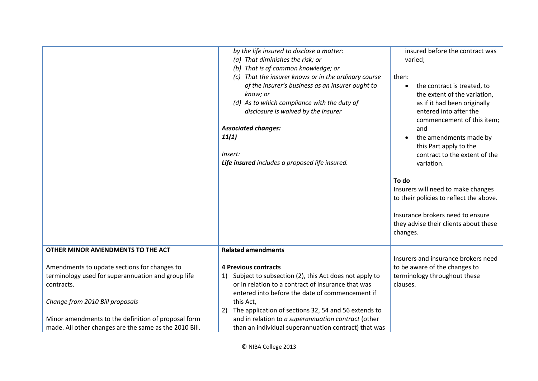|                                                                                                                                                                                                            | by the life insured to disclose a matter:<br>(a) That diminishes the risk; or<br>(b) That is of common knowledge; or<br>(c) That the insurer knows or in the ordinary course<br>of the insurer's business as an insurer ought to<br>know; or<br>(d) As to which compliance with the duty of<br>disclosure is waived by the insurer<br><b>Associated changes:</b><br>11(1)<br>Insert:<br>Life insured includes a proposed life insured. | insured before the contract was<br>varied;<br>then:<br>the contract is treated, to<br>$\bullet$<br>the extent of the variation,<br>as if it had been originally<br>entered into after the<br>commencement of this item;<br>and<br>the amendments made by<br>this Part apply to the<br>contract to the extent of the<br>variation.<br>To do |
|------------------------------------------------------------------------------------------------------------------------------------------------------------------------------------------------------------|----------------------------------------------------------------------------------------------------------------------------------------------------------------------------------------------------------------------------------------------------------------------------------------------------------------------------------------------------------------------------------------------------------------------------------------|--------------------------------------------------------------------------------------------------------------------------------------------------------------------------------------------------------------------------------------------------------------------------------------------------------------------------------------------|
|                                                                                                                                                                                                            |                                                                                                                                                                                                                                                                                                                                                                                                                                        | Insurers will need to make changes<br>to their policies to reflect the above.                                                                                                                                                                                                                                                              |
|                                                                                                                                                                                                            |                                                                                                                                                                                                                                                                                                                                                                                                                                        | Insurance brokers need to ensure<br>they advise their clients about these<br>changes.                                                                                                                                                                                                                                                      |
| OTHER MINOR AMENDMENTS TO THE ACT                                                                                                                                                                          | <b>Related amendments</b>                                                                                                                                                                                                                                                                                                                                                                                                              |                                                                                                                                                                                                                                                                                                                                            |
| Amendments to update sections for changes to<br>terminology used for superannuation and group life<br>contracts.<br>Change from 2010 Bill proposals<br>Minor amendments to the definition of proposal form | <b>4 Previous contracts</b><br>Subject to subsection (2), this Act does not apply to<br>1)<br>or in relation to a contract of insurance that was<br>entered into before the date of commencement if<br>this Act,<br>The application of sections 32, 54 and 56 extends to<br>2)<br>and in relation to a superannuation contract (other                                                                                                  | Insurers and insurance brokers need<br>to be aware of the changes to<br>terminology throughout these<br>clauses.                                                                                                                                                                                                                           |
| made. All other changes are the same as the 2010 Bill.                                                                                                                                                     | than an individual superannuation contract) that was                                                                                                                                                                                                                                                                                                                                                                                   |                                                                                                                                                                                                                                                                                                                                            |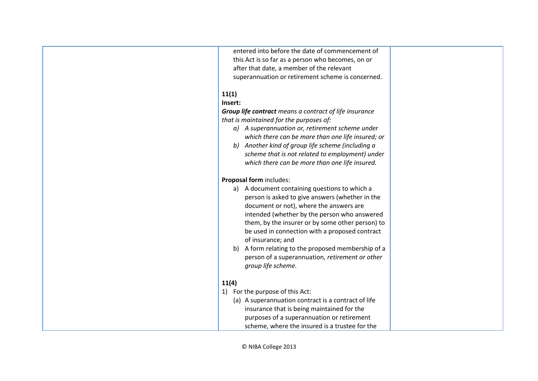| entered into before the date of commencement of               |  |
|---------------------------------------------------------------|--|
| this Act is so far as a person who becomes, on or             |  |
| after that date, a member of the relevant                     |  |
| superannuation or retirement scheme is concerned.             |  |
|                                                               |  |
| 11(1)<br>Insert:                                              |  |
|                                                               |  |
| <b>Group life contract</b> means a contract of life insurance |  |
| that is maintained for the purposes of:                       |  |
| a) A superannuation or, retirement scheme under               |  |
| which there can be more than one life insured; or             |  |
| b) Another kind of group life scheme (including a             |  |
| scheme that is not related to employment) under               |  |
| which there can be more than one life insured.                |  |
|                                                               |  |
| Proposal form includes:                                       |  |
| a) A document containing questions to which a                 |  |
| person is asked to give answers (whether in the               |  |
| document or not), where the answers are                       |  |
| intended (whether by the person who answered                  |  |
| them, by the insurer or by some other person) to              |  |
| be used in connection with a proposed contract                |  |
| of insurance; and                                             |  |
| b) A form relating to the proposed membership of a            |  |
| person of a superannuation, retirement or other               |  |
| group life scheme.                                            |  |
|                                                               |  |
| 11(4)                                                         |  |
| 1) For the purpose of this Act:                               |  |
| (a) A superannuation contract is a contract of life           |  |
| insurance that is being maintained for the                    |  |
| purposes of a superannuation or retirement                    |  |
| scheme, where the insured is a trustee for the                |  |